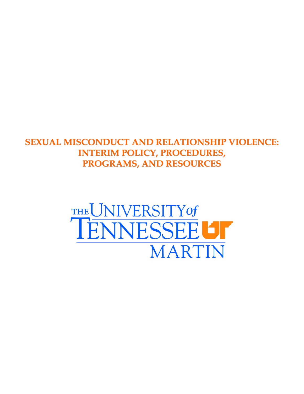## **SEXUAL MISCONDUCT AND RELATIONSHIP VIOLENCE: INTERIM POLICY, PROCEDURES, PROGRAMS, AND RESOURCES**

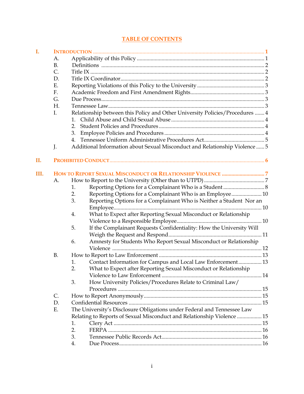## **TABLE OF CONTENTS**

| I.   |               |    |                                                                              |  |  |  |  |  |  |  |  |
|------|---------------|----|------------------------------------------------------------------------------|--|--|--|--|--|--|--|--|
|      | А.            |    |                                                                              |  |  |  |  |  |  |  |  |
|      | <b>B.</b>     |    |                                                                              |  |  |  |  |  |  |  |  |
|      | $\mathsf{C}.$ |    |                                                                              |  |  |  |  |  |  |  |  |
|      | D.            |    |                                                                              |  |  |  |  |  |  |  |  |
|      | Ε.            |    |                                                                              |  |  |  |  |  |  |  |  |
|      | F.            |    |                                                                              |  |  |  |  |  |  |  |  |
|      | G.            |    |                                                                              |  |  |  |  |  |  |  |  |
|      | H.            |    |                                                                              |  |  |  |  |  |  |  |  |
|      | I.            |    | Relationship between this Policy and Other University Policies/Procedures  4 |  |  |  |  |  |  |  |  |
|      |               |    |                                                                              |  |  |  |  |  |  |  |  |
|      |               | 2. |                                                                              |  |  |  |  |  |  |  |  |
|      |               | 3. |                                                                              |  |  |  |  |  |  |  |  |
|      |               | 4. |                                                                              |  |  |  |  |  |  |  |  |
|      | J.            |    | Additional Information about Sexual Misconduct and Relationship Violence  5  |  |  |  |  |  |  |  |  |
|      |               |    |                                                                              |  |  |  |  |  |  |  |  |
| II.  |               |    |                                                                              |  |  |  |  |  |  |  |  |
| III. |               |    |                                                                              |  |  |  |  |  |  |  |  |
|      | A.            |    |                                                                              |  |  |  |  |  |  |  |  |
|      |               | 1. |                                                                              |  |  |  |  |  |  |  |  |
|      |               | 2. | Reporting Options for a Complainant Who is an Employee 10                    |  |  |  |  |  |  |  |  |
|      |               | 3. | Reporting Options for a Complainant Who is Neither a Student Nor an          |  |  |  |  |  |  |  |  |
|      |               | 4. | What to Expect after Reporting Sexual Misconduct or Relationship             |  |  |  |  |  |  |  |  |
|      |               |    |                                                                              |  |  |  |  |  |  |  |  |
|      |               | 5. | If the Complainant Requests Confidentiality: How the University Will         |  |  |  |  |  |  |  |  |
|      |               |    |                                                                              |  |  |  |  |  |  |  |  |
|      |               | 6. | Amnesty for Students Who Report Sexual Misconduct or Relationship            |  |  |  |  |  |  |  |  |
|      |               |    |                                                                              |  |  |  |  |  |  |  |  |
|      | <b>B.</b>     |    |                                                                              |  |  |  |  |  |  |  |  |
|      |               | 1. | Contact Information for Campus and Local Law Enforcement 13                  |  |  |  |  |  |  |  |  |
|      |               | 2. | What to Expect after Reporting Sexual Misconduct or Relationship             |  |  |  |  |  |  |  |  |
|      |               |    |                                                                              |  |  |  |  |  |  |  |  |
|      |               | 3. | How University Policies/Procedures Relate to Criminal Law/                   |  |  |  |  |  |  |  |  |
|      |               |    |                                                                              |  |  |  |  |  |  |  |  |
|      | C.            |    |                                                                              |  |  |  |  |  |  |  |  |
|      | D.            |    |                                                                              |  |  |  |  |  |  |  |  |
|      | Ε.            |    | The University's Disclosure Obligations under Federal and Tennessee Law      |  |  |  |  |  |  |  |  |
|      |               |    | Relating to Reports of Sexual Misconduct and Relationship Violence  15       |  |  |  |  |  |  |  |  |
|      |               | 1. |                                                                              |  |  |  |  |  |  |  |  |
|      |               | 2. |                                                                              |  |  |  |  |  |  |  |  |
|      |               | 3. |                                                                              |  |  |  |  |  |  |  |  |
|      |               | 4. |                                                                              |  |  |  |  |  |  |  |  |
|      |               |    |                                                                              |  |  |  |  |  |  |  |  |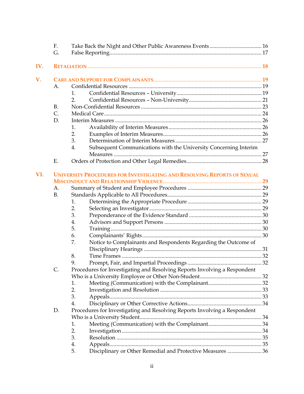|     | F.             |                                                                           |  |  |  |  |  |  |  |  |
|-----|----------------|---------------------------------------------------------------------------|--|--|--|--|--|--|--|--|
|     | G.             |                                                                           |  |  |  |  |  |  |  |  |
| IV. |                |                                                                           |  |  |  |  |  |  |  |  |
|     |                |                                                                           |  |  |  |  |  |  |  |  |
| V.  |                |                                                                           |  |  |  |  |  |  |  |  |
|     | A <sub>1</sub> |                                                                           |  |  |  |  |  |  |  |  |
|     |                | 1.                                                                        |  |  |  |  |  |  |  |  |
|     |                | 2.                                                                        |  |  |  |  |  |  |  |  |
|     | <b>B.</b>      |                                                                           |  |  |  |  |  |  |  |  |
|     | C.             |                                                                           |  |  |  |  |  |  |  |  |
|     | D.             |                                                                           |  |  |  |  |  |  |  |  |
|     |                | 1.                                                                        |  |  |  |  |  |  |  |  |
|     |                | 2.                                                                        |  |  |  |  |  |  |  |  |
|     |                | 3.                                                                        |  |  |  |  |  |  |  |  |
|     |                | Subsequent Communications with the University Concerning Interim<br>4.    |  |  |  |  |  |  |  |  |
|     |                |                                                                           |  |  |  |  |  |  |  |  |
|     | E.             |                                                                           |  |  |  |  |  |  |  |  |
|     |                |                                                                           |  |  |  |  |  |  |  |  |
| VI. |                | UNIVERSITY PROCEDURES FOR INVESTIGATING AND RESOLVING REPORTS OF SEXUAL   |  |  |  |  |  |  |  |  |
|     |                |                                                                           |  |  |  |  |  |  |  |  |
|     | A.             |                                                                           |  |  |  |  |  |  |  |  |
|     | <b>B.</b>      |                                                                           |  |  |  |  |  |  |  |  |
|     |                | 1.                                                                        |  |  |  |  |  |  |  |  |
|     |                | 2.                                                                        |  |  |  |  |  |  |  |  |
|     |                | 3.                                                                        |  |  |  |  |  |  |  |  |
|     |                | 4.                                                                        |  |  |  |  |  |  |  |  |
|     |                | 5.                                                                        |  |  |  |  |  |  |  |  |
|     |                | 6.                                                                        |  |  |  |  |  |  |  |  |
|     |                | Notice to Complainants and Respondents Regarding the Outcome of<br>7.     |  |  |  |  |  |  |  |  |
|     |                |                                                                           |  |  |  |  |  |  |  |  |
|     |                | 8.                                                                        |  |  |  |  |  |  |  |  |
|     |                | 9.                                                                        |  |  |  |  |  |  |  |  |
|     | C.             | Procedures for Investigating and Resolving Reports Involving a Respondent |  |  |  |  |  |  |  |  |
|     |                |                                                                           |  |  |  |  |  |  |  |  |
|     |                | 1.                                                                        |  |  |  |  |  |  |  |  |
|     |                | 2.                                                                        |  |  |  |  |  |  |  |  |
|     |                | 3.                                                                        |  |  |  |  |  |  |  |  |
|     |                | 4.                                                                        |  |  |  |  |  |  |  |  |
|     | D.             | Procedures for Investigating and Resolving Reports Involving a Respondent |  |  |  |  |  |  |  |  |
|     |                |                                                                           |  |  |  |  |  |  |  |  |
|     |                | 1.                                                                        |  |  |  |  |  |  |  |  |
|     |                | 2.                                                                        |  |  |  |  |  |  |  |  |
|     |                | 3.                                                                        |  |  |  |  |  |  |  |  |
|     |                | 4.                                                                        |  |  |  |  |  |  |  |  |
|     |                | Disciplinary or Other Remedial and Protective Measures  36<br>5.          |  |  |  |  |  |  |  |  |
|     |                |                                                                           |  |  |  |  |  |  |  |  |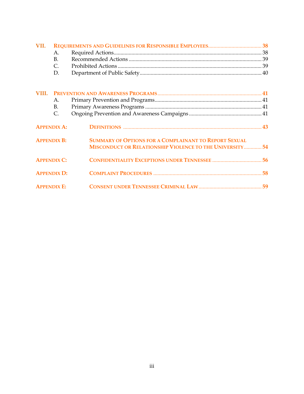| VII.  |                    |                                                                                                                   |  |
|-------|--------------------|-------------------------------------------------------------------------------------------------------------------|--|
|       | A.                 |                                                                                                                   |  |
|       | <b>B.</b>          |                                                                                                                   |  |
|       | $\mathsf{C}$ .     |                                                                                                                   |  |
|       | D.                 |                                                                                                                   |  |
| VIII. |                    |                                                                                                                   |  |
|       | A.                 |                                                                                                                   |  |
|       | B.                 |                                                                                                                   |  |
|       | $\mathsf{C}$ .     |                                                                                                                   |  |
|       | <b>APPENDIX A:</b> |                                                                                                                   |  |
|       | <b>APPENDIX B:</b> | SUMMARY OF OPTIONS FOR A COMPLAINANT TO REPORT SEXUAL<br>MISCONDUCT OR RELATIONSHIP VIOLENCE TO THE UNIVERSITY 54 |  |
|       | <b>APPENDIX C:</b> |                                                                                                                   |  |
|       | <b>APPENDIX D:</b> |                                                                                                                   |  |
|       | <b>APPENDIX E:</b> |                                                                                                                   |  |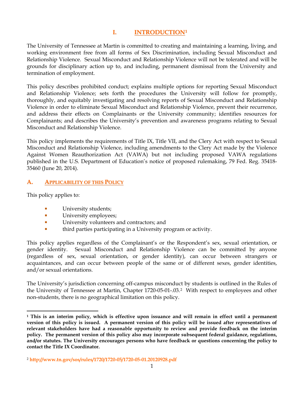#### **I. INTRODUCTIO[N1](#page-4-0)**

The University of Tennessee at Martin is committed to creating and maintaining a learning, living, and working environment free from all forms of Sex Discrimination, including Sexual Misconduct and Relationship Violence. Sexual Misconduct and Relationship Violence will not be tolerated and will be grounds for disciplinary action up to, and including, permanent dismissal from the University and termination of employment.

This policy describes prohibited conduct; explains multiple options for reporting Sexual Misconduct and Relationship Violence; sets forth the procedures the University will follow for promptly, thoroughly, and equitably investigating and resolving reports of Sexual Misconduct and Relationship Violence in order to eliminate Sexual Misconduct and Relationship Violence, prevent their recurrence, and address their effects on Complainants or the University community; identifies resources for Complainants; and describes the University's prevention and awareness programs relating to Sexual Misconduct and Relationship Violence.

This policy implements the requirements of Title IX, Title VII, and the Clery Act with respect to Sexual Misconduct and Relationship Violence, including amendments to the Clery Act made by the Violence Against Women Reauthorization Act (VAWA) but not including proposed VAWA regulations published in the U.S. Department of Education's notice of proposed rulemaking, 79 Fed. Reg. 35418- 35460 (June 20, 2014).

#### **A. APPLICABILITY OF THIS POLICY**

This policy applies to:

 $\overline{\phantom{a}}$ 

- **University students;**
- **University employees;**
- **University volunteers and contractors; and**
- third parties participating in a University program or activity.

This policy applies regardless of the Complainant's or the Respondent's sex, sexual orientation, or gender identity. Sexual Misconduct and Relationship Violence can be committed by anyone (regardless of sex, sexual orientation, or gender identity), can occur between strangers or acquaintances, and can occur between people of the same or of different sexes, gender identities, and/or sexual orientations.

The University's jurisdiction concerning off-campus misconduct by students is outlined in the Rules of the University of Tennessee at Martin, Chapter 1720-05-01-.03.[2](#page-4-1) With respect to employees and other non-students, there is no geographical limitation on this policy.

<span id="page-4-0"></span>**<sup>1</sup> This is an interim policy, which is effective upon issuance and will remain in effect until a permanent version of this policy is issued. A permanent version of this policy will be issued after representatives of relevant stakeholders have had a reasonable opportunity to review and provide feedback on the interim policy. The permanent version of this policy also may incorporate subsequent federal guidance, regulations, and/or statutes. The University encourages persons who have feedback or questions concerning the policy to contact the Title IX Coordinator.** 

<span id="page-4-1"></span><sup>2</sup> **<http://www.tn.gov/sos/rules/1720/1720-05/1720-05-01.20120928.pdf>**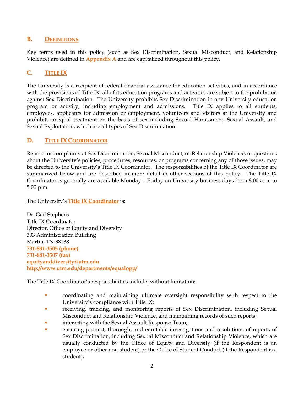#### **B. DEFINITIONS**

Key terms used in this policy (such as Sex Discrimination, Sexual Misconduct, and Relationship Violence) are defined in **Appendix A** and are capitalized throughout this policy.

## **C. TITLE IX**

The University is a recipient of federal financial assistance for education activities, and in accordance with the provisions of Title IX, all of its education programs and activities are subject to the prohibition against Sex Discrimination. The University prohibits Sex Discrimination in any University education program or activity, including employment and admissions. Title IX applies to all students, employees, applicants for admission or employment, volunteers and visitors at the University and prohibits unequal treatment on the basis of sex including Sexual Harassment, Sexual Assault, and Sexual Exploitation, which are all types of Sex Discrimination.

#### **D. TITLE IX COORDINATOR**

Reports or complaints of Sex Discrimination, Sexual Misconduct, or Relationship Violence, or questions about the University's policies, procedures, resources, or programs concerning any of those issues, may be directed to the University's Title IX Coordinator. The responsibilities of the Title IX Coordinator are summarized below and are described in more detail in other sections of this policy. The Title IX Coordinator is generally are available Monday – Friday on University business days from 8:00 a.m. to 5:00 p.m.

The University's **Title IX Coordinator** is:

Dr. Gail Stephens Title IX Coordinator Director, Office of Equity and Diversity 303 Administration Building Martin, TN 38238 **731-881-3505 (phone) 731-881-3507 (fax) [equityanddiversity@utm.edu](mailto:equityanddiversity@utm.edu) <http://www.utm.edu/departments/equalopp/>**

The Title IX Coordinator's responsibilities include, without limitation:

- coordinating and maintaining ultimate oversight responsibility with respect to the University's compliance with Title IX;
- **receiving, tracking, and monitoring reports of Sex Discrimination, including Sexual** Misconduct and Relationship Violence, and maintaining records of such reports;
- interacting with the Sexual Assault Response Team;
- ensuring prompt, thorough, and equitable investigations and resolutions of reports of Sex Discrimination, including Sexual Misconduct and Relationship Violence, which are usually conducted by the Office of Equity and Diversity (if the Respondent is an employee or other non-student) or the Office of Student Conduct (if the Respondent is a student);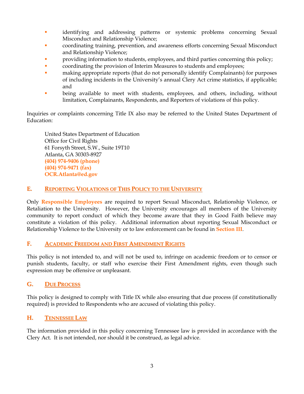- identifying and addressing patterns or systemic problems concerning Sexual Misconduct and Relationship Violence;
- coordinating training, prevention, and awareness efforts concerning Sexual Misconduct and Relationship Violence;
- **Providing information to students, employees, and third parties concerning this policy;**
- coordinating the provision of Interim Measures to students and employees;
- **naking appropriate reports (that do not personally identify Complainants) for purposes** of including incidents in the University's annual Clery Act crime statistics, if applicable; and
- **•** being available to meet with students, employees, and others, including, without limitation, Complainants, Respondents, and Reporters of violations of this policy.

Inquiries or complaints concerning Title IX also may be referred to the United States Department of Education:

United States Department of Education Office for Civil Rights 61 Forsyth Street, S.W., Suite 19T10 Atlanta, GA 30303-8927 **(404) 974-9406 (phone) (404) 974-9471 (fax) [OCR.Atlanta@ed.gov](mailto:OCR.Atlanta@ed.gov)**

#### **E. REPORTING VIOLATIONS OF THIS POLICY TO THE UNIVERSITY**

Only **Responsible Employees** are required to report Sexual Misconduct, Relationship Violence, or Retaliation to the University. However, the University encourages all members of the University community to report conduct of which they become aware that they in Good Faith believe may constitute a violation of this policy. Additional information about reporting Sexual Misconduct or Relationship Violence to the University or to law enforcement can be found in **Section III**.

## **F. ACADEMIC FREEDOM AND FIRST AMENDMENT RIGHTS**

This policy is not intended to, and will not be used to, infringe on academic freedom or to censor or punish students, faculty, or staff who exercise their First Amendment rights, even though such expression may be offensive or unpleasant.

#### **G. DUE PROCESS**

This policy is designed to comply with Title IX while also ensuring that due process (if constitutionally required) is provided to Respondents who are accused of violating this policy.

#### **H. TENNESSEE LAW**

The information provided in this policy concerning Tennessee law is provided in accordance with the Clery Act. It is not intended, nor should it be construed, as legal advice.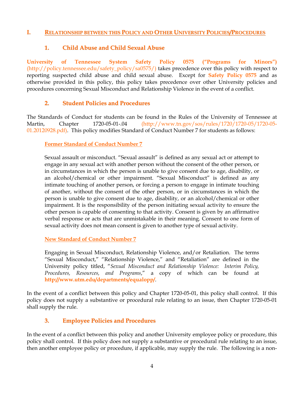#### **I. RELATIONSHIP BETWEEN THIS POLICY AND OTHER UNIVERSITY POLICIES/PROCEDURES**

#### **1. Child Abuse and Child Sexual Abuse**

**[University of Tennessee System Safety Policy 0575](http://policy.tennessee.edu/safety_policy/sa0575/) ("Programs for Minors")**  [\(http://policy.tennessee.edu/safety\\_policy/sa0575/\)](http://policy.tennessee.edu/safety_policy/sa0575/) takes precedence over this policy with respect to reporting suspected child abuse and child sexual abuse. Except for **[Safety Policy 0575](http://policy.tennessee.edu/safety_policy/sa0575/)** and as otherwise provided in this policy, this policy takes precedence over other University policies and procedures concerning Sexual Misconduct and Relationship Violence in the event of a conflict.

#### **2. Student Policies and Procedures**

The Standards of Conduct for students can be found in the Rules of the University of Tennessee at Martin, Chapter 1720-05-01-.04 [\(http://www.tn.gov/sos/rules/1720/1720-05/1720-05-](http://www.tn.gov/sos/rules/1720/1720-05/1720-05-01.20120928.pdf) [01.20120928.pdf\)](http://www.tn.gov/sos/rules/1720/1720-05/1720-05-01.20120928.pdf). This policy modifies Standard of Conduct Number 7 for students as follows:

#### **Former Standard of Conduct Number 7**

Sexual assault or misconduct. "Sexual assault" is defined as any sexual act or attempt to engage in any sexual act with another person without the consent of the other person, or in circumstances in which the person is unable to give consent due to age, disability, or an alcohol/chemical or other impairment. "Sexual Misconduct" is defined as any intimate touching of another person, or forcing a person to engage in intimate touching of another, without the consent of the other person, or in circumstances in which the person is unable to give consent due to age, disability, or an alcohol/chemical or other impairment. It is the responsibility of the person initiating sexual activity to ensure the other person is capable of consenting to that activity. Consent is given by an affirmative verbal response or acts that are unmistakable in their meaning. Consent to one form of sexual activity does not mean consent is given to another type of sexual activity.

#### **New Standard of Conduct Number 7**

Engaging in Sexual Misconduct, Relationship Violence, and/or Retaliation. The terms "Sexual Misconduct," "Relationship Violence," and "Retaliation" are defined in the University policy titled, "*Sexual Misconduct and Relationship Violence: Interim Policy, Procedures, Resources, and Programs*," a copy of which can be found at **<http://www.utm.edu/departments/equalopp/>**.

In the event of a conflict between this policy and Chapter 1720-05-01, this policy shall control. If this policy does not supply a substantive or procedural rule relating to an issue, then Chapter 1720-05-01 shall supply the rule.

#### **3. Employee Policies and Procedures**

In the event of a conflict between this policy and another University employee policy or procedure, this policy shall control. If this policy does not supply a substantive or procedural rule relating to an issue, then another employee policy or procedure, if applicable, may supply the rule. The following is a non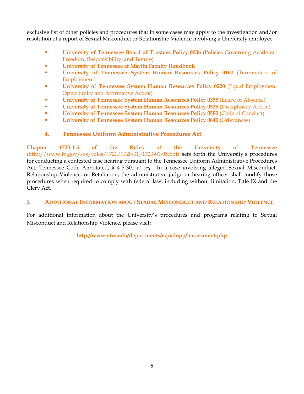exclusive list of other policies and procedures that in some cases may apply to the investigation and/or resolution of a report of Sexual Misconduct or Relationship Violence involving a University employee:

- **EXECUTE:** [University of Tennessee Board of Trustees Policy 0006](http://policy.tennessee.edu/bot_policy/bt0006/) (Policies Governing Academic [Freedom, Responsibility, and Tenure\)](http://policy.tennessee.edu/bot_policy/bt0006/)
- **[University of Tennessee at Martin](http://www.utm.edu/departments/acadaff/_docs/fachbook.pdf) Faculty Handbook**
- **University of Tennessee System Human Resources Policy 0160** (Termination of [Employment\)](http://policy.tennessee.edu/hr_policy/hr0160/)
- **[University of Tennessee System Human Resources Policy 0220](http://policy.tennessee.edu/hr_policy/hr0220/) (Equal Employment** [Opportunity and Affirmative Action\)](http://policy.tennessee.edu/hr_policy/hr0220/)
- **[University of Tennessee System Human Resources Policy 0355](http://policy.tennessee.edu/hr_policy/hr0355/) (Leave of Absence)**
- **[University of Tennessee System Human Resources Policy 0525](http://policy.tennessee.edu/hr_policy/hr0525/) (Disciplinary Action)**
- **[University of Tennessee System Human Resources Policy 0580](http://policy.tennessee.edu/hr_policy/hr0580/) (Code of Conduct)**
- **[University of Tennessee System Human Resources Policy 0640](http://policy.tennessee.edu/hr_policy/hr0640/) (Grievances)**

#### **4. Tennessee Uniform Administrative Procedures Act**

**[Chapter 1720-1-5 of the Rules of the University of Tennessee](http://tn.gov/sos/rules/1720/1720-01/1720-01-05.pdf)** [\(http://www.tn.gov/sos/rules/1720/1720-01/1720-01-05.pdf\)](http://www.tn.gov/sos/rules/1720/1720-01/1720-01-05.pdf) sets forth the University's procedures for conducting a contested case hearing pursuant to the Tennessee Uniform Administrative Procedures Act, Tennessee Code Annotated, § 4-5-301 *et seq.* In a case involving alleged Sexual Misconduct, Relationship Violence, or Retaliation, the administrative judge or hearing officer shall modify those procedures when required to comply with federal law, including without limitation, Title IX and the Clery Act.

#### **J. ADDITIONAL INFORMATION ABOUT SEXUAL MISCONDUCT AND RELATIONSHIP VIOLENCE**

For additional information about the University's procedures and programs relating to Sexual Misconduct and Relationship Violence, please visit:

**<http://www.utm.edu/departments/equalopp/harassment.php>**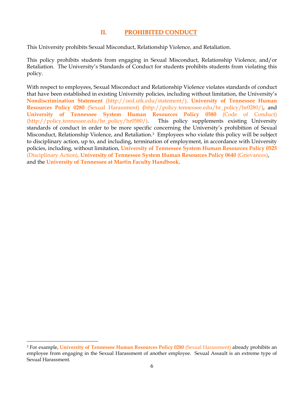#### **II. PROHIBITED CONDUCT**

This University prohibits Sexual Misconduct, Relationship Violence, and Retaliation.

This policy prohibits students from engaging in Sexual Misconduct, Relationship Violence, and/or Retaliation. The University's Standards of Conduct for students prohibits students from violating this policy.

With respect to employees, Sexual Misconduct and Relationship Violence violates standards of conduct that have been established in existing University policies, including without limitation, the University's **[Nondiscrimination Statement](http://oed.utk.edu/statement/)** [\(http://oed.utk.edu/statement/\)](http://oed.utk.edu/statement/), **[University of Tennessee Human](http://policy.tennessee.edu/hr_policy/hr0280/)  [Resources Policy 0280](http://policy.tennessee.edu/hr_policy/hr0280/)** (Sexual Harassment) **(**[http://policy.tennessee.edu/hr\\_policy/hr0280/\)](http://policy.tennessee.edu/hr_policy/hr0280/), and **[University of Tennessee System Human Resources Policy 0580](http://policy.tennessee.edu/hr_policy/hr0580/)** (Code of Conduct) [\(http://policy.tennessee.edu/hr\\_policy/hr0580/\)](http://policy.tennessee.edu/hr_policy/hr0580/). This policy supplements existing University standards of conduct in order to be more specific concerning the University's prohibition of Sexual Misconduct, Relationship Violence, and Retaliation.[3](#page-9-0) Employees who violate this policy will be subject to disciplinary action, up to, and including, termination of employment, in accordance with University policies, including, without limitation, **[University of Tennessee System Human Resources Policy 0525](http://policy.tennessee.edu/hr_policy/hr0525/)**  [\(Disciplinary Action\),](http://policy.tennessee.edu/hr_policy/hr0525/) **[University of Tennessee System Human Resources Policy 0640](http://policy.tennessee.edu/hr_policy/hr0640/)** (Grievances), and the **[University of Tennessee at Martin Faculty Handbook](http://www.utm.edu/departments/acadaff/_docs/fachbook.pdf)**.

 $\overline{\phantom{a}}$ 

<span id="page-9-0"></span><sup>3</sup> For example, **[University of Tennessee Human Resources Policy 0280](http://policy.tennessee.edu/hr_policy/hr0280/)** (Sexual Harassment) already prohibits an employee from engaging in the Sexual Harassment of another employee. Sexual Assault is an extreme type of Sexual Harassment.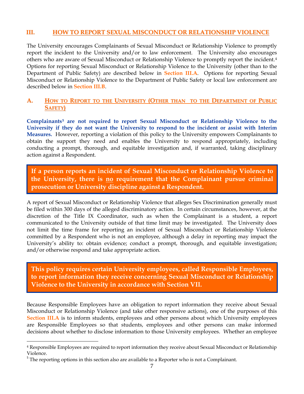#### **III. HOW TO REPORT SEXUAL MISCONDUCT OR RELATIONSHIP VIOLENCE**

The University encourages Complainants of Sexual Misconduct or Relationship Violence to promptly report the incident to the University and/or to law enforcement. The University also encourages others who are aware of Sexual Misconduct or Relationship Violence to promptly report the incident.[4](#page-10-0) Options for reporting Sexual Misconduct or Relationship Violence to the University (other than to the Department of Public Safety) are described below in **Section III.A**. Options for reporting Sexual Misconduct or Relationship Violence to the Department of Public Safety or local law enforcement are described below in **Section III.B**.

#### **A. HOW TO REPORT TO THE UNIVERSITY (OTHER THAN TO THE DEPARTMENT OF PUBLIC SAFETY)**

**Complainants[5](#page-10-1) are not required to report Sexual Misconduct or Relationship Violence to the University if they do not want the University to respond to the incident or assist with Interim Measures.** However, reporting a violation of this policy to the University empowers Complainants to obtain the support they need and enables the University to respond appropriately, including conducting a prompt, thorough, and equitable investigation and, if warranted, taking disciplinary action against a Respondent.

**If a person reports an incident of Sexual Misconduct or Relationship Violence to the University, there is no requirement that the Complainant pursue criminal prosecution or University discipline against a Respondent.**

A report of Sexual Misconduct or Relationship Violence that alleges Sex Discrimination generally must be filed within 300 days of the alleged discriminatory action. In certain circumstances, however, at the discretion of the Title IX Coordinator, such as when the Complainant is a student, a report communicated to the University outside of that time limit may be investigated. The University does not limit the time frame for reporting an incident of Sexual Misconduct or Relationship Violence committed by a Respondent who is not an employee, although a delay in reporting may impact the University's ability to: obtain evidence; conduct a prompt, thorough, and equitable investigation; and/or otherwise respond and take appropriate action.

**This policy requires certain University employees, called Responsible Employees, to report information they receive concerning Sexual Misconduct or Relationship Violence to the University in accordance with Section VII.**

Because Responsible Employees have an obligation to report information they receive about Sexual Misconduct or Relationship Violence (and take other responsive actions), one of the purposes of this **Section III.A** is to inform students, employees and other persons about which University employees are Responsible Employees so that students, employees and other persons can make informed decisions about whether to disclose information to those University employees. Whether an employee

 $\overline{\phantom{a}}$ 

<span id="page-10-0"></span><sup>4</sup> Responsible Employees are required to report information they receive about Sexual Misconduct or Relationship Violence.

<span id="page-10-1"></span> $<sup>5</sup>$  The reporting options in this section also are available to a Reporter who is not a Complainant.</sup>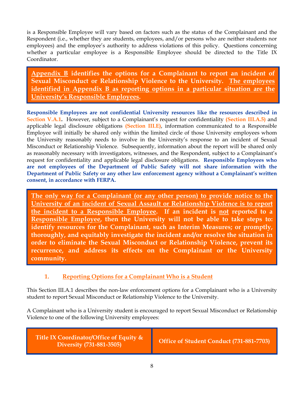is a Responsible Employee will vary based on factors such as the status of the Complainant and the Respondent (i.e., whether they are students, employees, and/or persons who are neither students nor employees) and the employee's authority to address violations of this policy. Questions concerning whether a particular employee is a Responsible Employee should be directed to the Title IX Coordinator.

**Appendix B identifies the options for a Complainant to report an incident of Sexual Misconduct or Relationship Violence to the University. The employees identified in Appendix B as reporting options in a particular situation are the University's Responsible Employees.**

**Responsible Employees are not confidential University resources like the resources described in Section V.A.1.** However, subject to a Complainant's request for confidentiality **(Section III.A.5)** and applicable legal disclosure obligations **(Section III.E)**, information communicated to a Responsible Employee will initially be shared only within the limited circle of those University employees whom the University reasonably needs to involve in the University's response to an incident of Sexual Misconduct or Relationship Violence. Subsequently, information about the report will be shared only as reasonably necessary with investigators, witnesses, and the Respondent, subject to a Complainant's request for confidentiality and applicable legal disclosure obligations. **Responsible Employees who are not employees of the Department of Public Safety will not share information with the Department of Public Safety or any other law enforcement agency without a Complainant's written consent, in accordance with FERPA.**

**The only way for a Complainant (or any other person) to provide notice to the University of an incident of Sexual Assault or Relationship Violence is to report the incident to a Responsible Employee. If an incident is not reported to a Responsible Employee, then the University will not be able to take steps to: identify resources for the Complainant, such as Interim Measures; or promptly, thoroughly, and equitably investigate the incident and/or resolve the situation in order to eliminate the Sexual Misconduct or Relationship Violence, prevent its recurrence, and address its effects on the Complainant or the University community.**

## **1. Reporting Options for a Complainant Who is a Student**

This Section III.A.1 describes the non-law enforcement options for a Complainant who is a University student to report Sexual Misconduct or Relationship Violence to the University.

A Complainant who is a University student is encouraged to report Sexual Misconduct or Relationship Violence to one of the following University employees:

**Title IX Coordinator/Office of Equity & Diversity** (731-881-3505) **Diversity** (731-881-7703)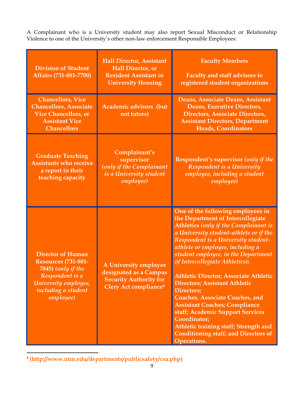A Complainant who is a University student may also report Sexual Misconduct or Relationship Violence to one of the University's other non-law enforcement Responsible Employees:

| <b>Division of Student</b><br>Affairs (731-881-7700)                                                                                                        | <b>Hall Director, Assistant</b><br><b>Hall Director</b> , or<br><b>Resident Assistant in</b><br><b>University Housing</b> | <b>Faculty Members</b><br><b>Faculty and staff advisors to</b><br>registered student organizations                                                                                                                                                                                                                                                                                                                                                                                                                                                                                                                                                                       |  |  |
|-------------------------------------------------------------------------------------------------------------------------------------------------------------|---------------------------------------------------------------------------------------------------------------------------|--------------------------------------------------------------------------------------------------------------------------------------------------------------------------------------------------------------------------------------------------------------------------------------------------------------------------------------------------------------------------------------------------------------------------------------------------------------------------------------------------------------------------------------------------------------------------------------------------------------------------------------------------------------------------|--|--|
| <b>Chancellors, Vice</b><br><b>Chancellors, Associate</b><br><b>Vice Chancellors, or</b><br><b>Assistant Vice</b><br><b>Chancellors</b>                     | <b>Academic advisors (but</b><br>not tutors)                                                                              | Deans, Associate Deans, Assistant<br>Deans, Executive Directors,<br><b>Directors, Associate Directors,</b><br><b>Assistant Directors, Department</b><br><b>Heads, Coordinators</b>                                                                                                                                                                                                                                                                                                                                                                                                                                                                                       |  |  |
| <b>Graduate Teaching</b><br><b>Assistants who receive</b><br>a report in their<br>teaching capacity                                                         | Complainant's<br>supervisor<br>(only if the Complainant<br>is a University student<br><i>employee</i> )                   | Respondent's supervisor (only if the<br>Respondent is a University<br>employee, including a student<br>employee)                                                                                                                                                                                                                                                                                                                                                                                                                                                                                                                                                         |  |  |
| <b>Director of Human</b><br><b>Resources (731-881-</b><br>7845) (only if the<br>Respondent is a<br>University employee,<br>including a student<br>employee) | A University employee<br>designated as a Campus<br><b>Security Authority for</b><br>Clery Act compliance <sup>6</sup>     | One of the following employees in<br>the Department of Intercollegiate<br>Athletics (only if the Complainant is<br>a University student-athlete or if the<br>Respondent is a University student-<br>athlete or employee, including a<br>student employee, in the Department<br>of Intercollegiate Athletics):<br><b>Athletic Director; Associate Athletic</b><br><b>Directors; Assistant Athletic</b><br><b>Directors</b> ;<br><b>Coaches, Associate Coaches, and</b><br><b>Assistant Coaches; Compliance</b><br>staff; Academic Support Services<br>Coordinator;<br>Athletic training staff; Strength and<br><b>Conditioning staff; and Directors of</b><br>Operations. |  |  |

<span id="page-12-0"></span>6 **[\(http://www.utm.edu/departments/publicsafety/csa.php\)](http://www.utm.edu/departments/publicsafety/csa.php)**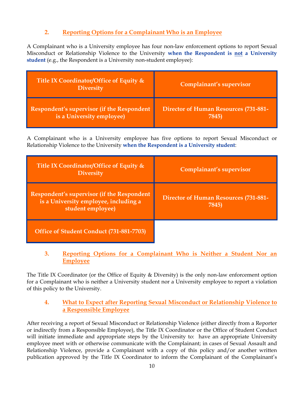## **2. Reporting Options for a Complainant Who is an Employee**

A Complainant who is a University employee has four non-law enforcement options to report Sexual Misconduct or Relationship Violence to the University **when the Respondent is not a University student** (e.g., the Respondent is a University non-student employee):

| Title IX Coordinator/Office of Equity &<br><b>Diversity</b> | Complainant's supervisor                     |
|-------------------------------------------------------------|----------------------------------------------|
| <b>Respondent's supervisor (if the Respondent</b>           | <b>Director of Human Resources (731-881-</b> |
| is a University employee)                                   | 7845)                                        |

A Complainant who is a University employee has five options to report Sexual Misconduct or Relationship Violence to the University **when the Respondent is a University student**:

| Title IX Coordinator/Office of Equity &<br><b>Diversity</b>                                              | Complainant's supervisor                              |
|----------------------------------------------------------------------------------------------------------|-------------------------------------------------------|
| Respondent's supervisor (if the Respondent<br>is a University employee, including a<br>student employee) | <b>Director of Human Resources (731-881-</b><br>7845) |
| Office of Student Conduct (731-881-7703)                                                                 |                                                       |

#### **3. Reporting Options for a Complainant Who is Neither a Student Nor an Employee**

The Title IX Coordinator (or the Office of Equity & Diversity) is the only non-law enforcement option for a Complainant who is neither a University student nor a University employee to report a violation of this policy to the University.

#### **4. What to Expect after Reporting Sexual Misconduct or Relationship Violence to a Responsible Employee**

After receiving a report of Sexual Misconduct or Relationship Violence (either directly from a Reporter or indirectly from a Responsible Employee), the Title IX Coordinator or the Office of Student Conduct will initiate immediate and appropriate steps by the University to: have an appropriate University employee meet with or otherwise communicate with the Complainant; in cases of Sexual Assault and Relationship Violence, provide a Complainant with a copy of this policy and/or another written publication approved by the Title IX Coordinator to inform the Complainant of the Complainant's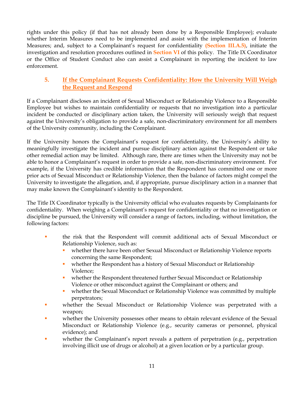rights under this policy (if that has not already been done by a Responsible Employee); evaluate whether Interim Measures need to be implemented and assist with the implementation of Interim Measures; and, subject to a Complainant's request for confidentiality **(Section III.A.5)**, initiate the investigation and resolution procedures outlined in **Section VI** of this policy. The Title IX Coordinator or the Office of Student Conduct also can assist a Complainant in reporting the incident to law enforcement.

#### **5. If the Complainant Requests Confidentiality: How the University Will Weigh the Request and Respond**

If a Complainant discloses an incident of Sexual Misconduct or Relationship Violence to a Responsible Employee but wishes to maintain confidentiality or requests that no investigation into a particular incident be conducted or disciplinary action taken, the University will seriously weigh that request against the University's obligation to provide a safe, non-discriminatory environment for all members of the University community, including the Complainant.

If the University honors the Complainant's request for confidentiality, the University's ability to meaningfully investigate the incident and pursue disciplinary action against the Respondent or take other remedial action may be limited. Although rare, there are times when the University may not be able to honor a Complainant's request in order to provide a safe, non-discriminatory environment. For example, if the University has credible information that the Respondent has committed one or more prior acts of Sexual Misconduct or Relationship Violence, then the balance of factors might compel the University to investigate the allegation, and, if appropriate, pursue disciplinary action in a manner that may make known the Complainant's identity to the Respondent.

The Title IX Coordinator typically is the University official who evaluates requests by Complainants for confidentiality. When weighing a Complainant's request for confidentiality or that no investigation or discipline be pursued, the University will consider a range of factors, including, without limitation, the following factors:

- the risk that the Respondent will commit additional acts of Sexual Misconduct or Relationship Violence, such as:
	- whether there have been other Sexual Misconduct or Relationship Violence reports concerning the same Respondent;
	- **•** whether the Respondent has a history of Sexual Misconduct or Relationship Violence;
	- whether the Respondent threatened further Sexual Misconduct or Relationship Violence or other misconduct against the Complainant or others; and
	- **•** whether the Sexual Misconduct or Relationship Violence was committed by multiple perpetrators;
- whether the Sexual Misconduct or Relationship Violence was perpetrated with a weapon;
- whether the University possesses other means to obtain relevant evidence of the Sexual Misconduct or Relationship Violence (e.g., security cameras or personnel, physical evidence); and
- **•** whether the Complainant's report reveals a pattern of perpetration (e.g., perpetration involving illicit use of drugs or alcohol) at a given location or by a particular group.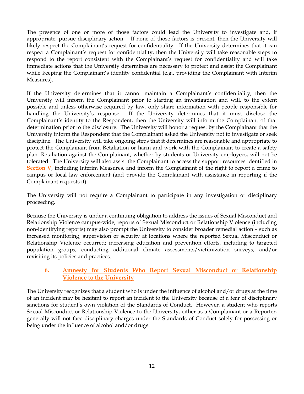The presence of one or more of those factors could lead the University to investigate and, if appropriate, pursue disciplinary action. If none of those factors is present, then the University will likely respect the Complainant's request for confidentiality. If the University determines that it can respect a Complainant's request for confidentiality, then the University will take reasonable steps to respond to the report consistent with the Complainant's request for confidentiality and will take immediate actions that the University determines are necessary to protect and assist the Complainant while keeping the Complainant's identity confidential (e.g., providing the Complainant with Interim Measures).

If the University determines that it cannot maintain a Complainant's confidentiality, then the University will inform the Complainant prior to starting an investigation and will, to the extent possible and unless otherwise required by law, only share information with people responsible for handling the University's response. If the University determines that it must disclose the Complainant's identity to the Respondent, then the University will inform the Complainant of that determination prior to the disclosure. The University will honor a request by the Complainant that the University inform the Respondent that the Complainant asked the University not to investigate or seek discipline. The University will take ongoing steps that it determines are reasonable and appropriate to protect the Complainant from Retaliation or harm and work with the Complainant to create a safety plan. Retaliation against the Complainant, whether by students or University employees, will not be tolerated. The University will also assist the Complainant to access the support resources identified in **Section V**, including Interim Measures, and inform the Complainant of the right to report a crime to campus or local law enforcement (and provide the Complainant with assistance in reporting if the Complainant requests it).

The University will not require a Complainant to participate in any investigation or disciplinary proceeding.

Because the University is under a continuing obligation to address the issues of Sexual Misconduct and Relationship Violence campus-wide, reports of Sexual Misconduct or Relationship Violence (including non-identifying reports) may also prompt the University to consider broader remedial action – such as increased monitoring, supervision or security at locations where the reported Sexual Misconduct or Relationship Violence occurred; increasing education and prevention efforts, including to targeted population groups; conducting additional climate assessments/victimization surveys; and/or revisiting its policies and practices.

#### **6. Amnesty for Students Who Report Sexual Misconduct or Relationship Violence to the University**

The University recognizes that a student who is under the influence of alcohol and/or drugs at the time of an incident may be hesitant to report an incident to the University because of a fear of disciplinary sanctions for student's own violation of the Standards of Conduct. However, a student who reports Sexual Misconduct or Relationship Violence to the University, either as a Complainant or a Reporter, generally will not face disciplinary charges under the Standards of Conduct solely for possessing or being under the influence of alcohol and/or drugs.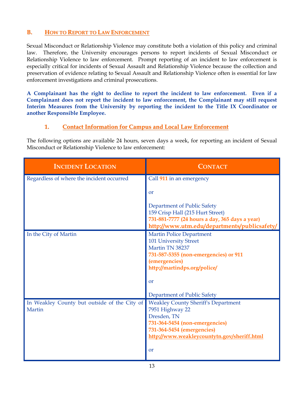#### **B. HOW TO REPORT TO LAW ENFORCEMENT**

Sexual Misconduct or Relationship Violence may constitute both a violation of this policy and criminal law. Therefore, the University encourages persons to report incidents of Sexual Misconduct or Relationship Violence to law enforcement. Prompt reporting of an incident to law enforcement is especially critical for incidents of Sexual Assault and Relationship Violence because the collection and preservation of evidence relating to Sexual Assault and Relationship Violence often is essential for law enforcement investigations and criminal prosecutions.

**A Complainant has the right to decline to report the incident to law enforcement. Even if a Complainant does not report the incident to law enforcement, the Complainant may still request Interim Measures from the University by reporting the incident to the Title IX Coordinator or another Responsible Employee.** 

#### **1. Contact Information for Campus and Local Law Enforcement**

The following options are available 24 hours, seven days a week, for reporting an incident of Sexual Misconduct or Relationship Violence to law enforcement:

| <b>INCIDENT LOCATION</b>                     | <b>CONTACT</b>                                 |
|----------------------------------------------|------------------------------------------------|
| Regardless of where the incident occurred    | Call 911 in an emergency                       |
|                                              | $\alpha$                                       |
|                                              | Department of Public Safety                    |
|                                              | 159 Crisp Hall (215 Hurt Street)               |
|                                              | 731-881-7777 (24 hours a day, 365 days a year) |
|                                              | http://www.utm.edu/departments/publicsafety/   |
| In the City of Martin                        | <b>Martin Police Department</b>                |
|                                              | <b>101 University Street</b>                   |
|                                              | Martin TN 38237                                |
|                                              | 731-587-5355 (non-emergencies) or 911          |
|                                              | (emergencies)                                  |
|                                              | http://martindps.org/police/                   |
|                                              | $\alpha$                                       |
|                                              | Department of Public Safety                    |
| In Weakley County but outside of the City of | <b>Weakley County Sheriff's Department</b>     |
| Martin                                       | 7951 Highway 22                                |
|                                              | Dresden, TN                                    |
|                                              | 731-364-5454 (non-emergencies)                 |
|                                              | 731-364-5454 (emergencies)                     |
|                                              | http://www.weakleycountytn.gov/sheriff.html    |
|                                              | $\alpha$                                       |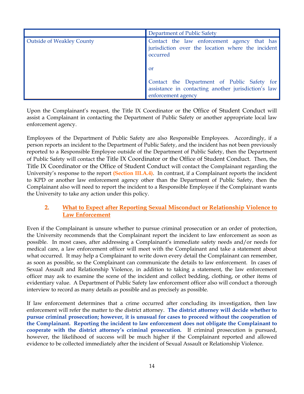|                                  | Department of Public Safety                                                                                              |  |  |  |  |
|----------------------------------|--------------------------------------------------------------------------------------------------------------------------|--|--|--|--|
| <b>Outside of Weakley County</b> | Contact the law enforcement agency that has<br>jurisdiction over the location where the incident<br>occurred             |  |  |  |  |
|                                  | <b>or</b>                                                                                                                |  |  |  |  |
|                                  | Contact the Department of Public Safety for<br>assistance in contacting another jurisdiction's law<br>enforcement agency |  |  |  |  |

Upon the Complainant's request, the Title IX Coordinator or the Office of Student Conduct will assist a Complainant in contacting the Department of Public Safety or another appropriate local law enforcement agency.

Employees of the Department of Public Safety are also Responsible Employees. Accordingly, if a person reports an incident to the Department of Public Safety, and the incident has not been previously reported to a Responsible Employee outside of the Department of Public Safety, then the Department of Public Safety will contact the Title IX Coordinator or the Office of Student Conduct. Then, the Title IX Coordinator or the Office of Student Conduct will contact the Complainant regarding the University's response to the report **(Section III.A.4)**. In contrast, if a Complainant reports the incident to KPD or another law enforcement agency other than the Department of Public Safety, then the Complainant also will need to report the incident to a Responsible Employee if the Complainant wants the University to take any action under this policy.

#### **2. What to Expect after Reporting Sexual Misconduct or Relationship Violence to Law Enforcement**

Even if the Complainant is unsure whether to pursue criminal prosecution or an order of protection, the University recommends that the Complainant report the incident to law enforcement as soon as possible. In most cases, after addressing a Complainant's immediate safety needs and/or needs for medical care, a law enforcement officer will meet with the Complainant and take a statement about what occurred. It may help a Complainant to write down every detail the Complainant can remember, as soon as possible, so the Complainant can communicate the details to law enforcement. In cases of Sexual Assault and Relationship Violence, in addition to taking a statement, the law enforcement officer may ask to examine the scene of the incident and collect bedding, clothing, or other items of evidentiary value. A Department of Public Safety law enforcement officer also will conduct a thorough interview to record as many details as possible and as precisely as possible.

If law enforcement determines that a crime occurred after concluding its investigation, then law enforcement will refer the matter to the district attorney. **The district attorney will decide whether to pursue criminal prosecution; however, it is unusual for cases to proceed without the cooperation of the Complainant. Reporting the incident to law enforcement does not obligate the Complainant to cooperate with the district attorney's criminal prosecution.** If criminal prosecution is pursued, however, the likelihood of success will be much higher if the Complainant reported and allowed evidence to be collected immediately after the incident of Sexual Assault or Relationship Violence.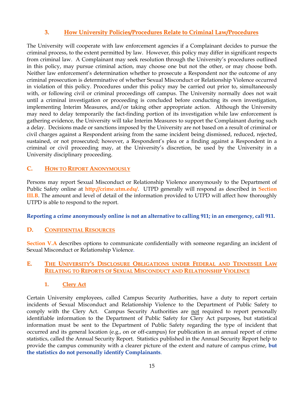#### **3. How University Policies/Procedures Relate to Criminal Law/Procedures**

The University will cooperate with law enforcement agencies if a Complainant decides to pursue the criminal process, to the extent permitted by law. However, this policy may differ in significant respects from criminal law. A Complainant may seek resolution through the University's procedures outlined in this policy, may pursue criminal action, may choose one but not the other, or may choose both. Neither law enforcement's determination whether to prosecute a Respondent nor the outcome of any criminal prosecution is determinative of whether Sexual Misconduct or Relationship Violence occurred in violation of this policy. Procedures under this policy may be carried out prior to, simultaneously with, or following civil or criminal proceedings off campus. The University normally does not wait until a criminal investigation or proceeding is concluded before conducting its own investigation, implementing Interim Measures, and/or taking other appropriate action. Although the University may need to delay temporarily the fact-finding portion of its investigation while law enforcement is gathering evidence, the University will take Interim Measures to support the Complainant during such a delay. Decisions made or sanctions imposed by the University are not based on a result of criminal or civil charges against a Respondent arising from the same incident being dismissed, reduced, rejected, sustained, or not prosecuted; however, a Respondent's plea or a finding against a Respondent in a criminal or civil proceeding may, at the University's discretion, be used by the University in a University disciplinary proceeding.

#### **C. HOW TO REPORT ANONYMOUSLY**

Persons may report Sexual Misconduct or Relationship Violence anonymously to the Department of Public Safety online at **<http://crime.utm.edu/>**. UTPD generally will respond as described in **Section III.B**. The amount and level of detail of the information provided to UTPD will affect how thoroughly UTPD is able to respond to the report.

**Reporting a crime anonymously online is not an alternative to calling 911; in an emergency, call 911.**

#### **D. CONFIDENTIAL RESOURCES**

**Section V.A** describes options to communicate confidentially with someone regarding an incident of Sexual Misconduct or Relationship Violence.

#### **E. THE UNIVERSITY'S DISCLOSURE OBLIGATIONS UNDER FEDERAL AND TENNESSEE LAW RELATING TO REPORTS OF SEXUAL MISCONDUCT AND RELATIONSHIP VIOLENCE**

#### **1. Clery Act**

Certain University employees, called Campus Security Authorities, have a duty to report certain incidents of Sexual Misconduct and Relationship Violence to the Department of Public Safety to comply with the Clery Act. Campus Security Authorities are not required to report personally identifiable information to the Department of Public Safety for Clery Act purposes, but statistical information must be sent to the Department of Public Safety regarding the type of incident that occurred and its general location (e.g., on or off-campus) for publication in an annual report of crime statistics, called the Annual Security Report. Statistics published in the Annual Security Report help to provide the campus community with a clearer picture of the extent and nature of campus crime, **but the statistics do not personally identify Complainants**.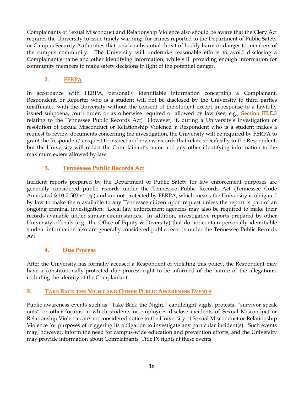Complainants of Sexual Misconduct and Relationship Violence also should be aware that the Clery Act requires the University to issue timely warnings for crimes reported to the Department of Public Safety or Campus Security Authorities that pose a substantial threat of bodily harm or danger to members of the campus community. The University will undertake reasonable efforts to avoid disclosing a Complainant's name and other identifying information, while still providing enough information for community members to make safety decisions in light of the potential danger.

#### **2. FERPA**

In accordance with FERPA, personally identifiable information concerning a Complainant, Respondent, or Reporter who is a student will not be disclosed by the University to third parties unaffiliated with the University without the consent of the student except in response to a lawfully issued subpoena, court order, or as otherwise required or allowed by law (see, e.g., **Section III.E.3** relating to the Tennessee Public Records Act) However, if, during a University's investigation or resolution of Sexual Misconduct or Relationship Violence, a Respondent who is a student makes a request to review documents concerning the investigation, the University will be required by FERPA to grant the Respondent's request to inspect and review records that relate specifically to the Respondent, but the University will redact the Complainant's name and any other identifying information to the maximum extent allowed by law.

## **3. Tennessee Public Records Act**

Incident reports prepared by the Department of Public Safety for law enforcement purposes are generally considered public records under the Tennessee Public Records Act (Tennessee Code Annotated § 10-7-503 *et seq.*) and are not protected by FERPA, which means the University is obligated by law to make them available to any Tennessee citizen upon request unless the report is part of an ongoing criminal investigation. Local law enforcement agencies may also be required to make their records available under similar circumstances. In addition, investigative reports prepared by other University officials (e.g., the Office of Equity & Diversity) that do not contain personally identifiable student information also are generally considered public records under the Tennessee Public Records Act.

#### **4. Due Process**

After the University has formally accused a Respondent of violating this policy, the Respondent may have a constitutionally-protected due process right to be informed of the nature of the allegations, including the identity of the Complainant.

## **F. TAKE BACK THE NIGHT AND OTHER PUBLIC AWARENESS EVENTS**

Public awareness events such as "Take Back the Night," candlelight vigils, protests, "survivor speak outs" or other forums in which students or employees disclose incidents of Sexual Misconduct or Relationship Violence, are not considered notice to the University of Sexual Misconduct or Relationship Violence for purposes of triggering its obligation to investigate any particular incident(s). Such events may, however, inform the need for campus-wide education and prevention efforts, and the University may provide information about Complainants' Title IX rights at these events.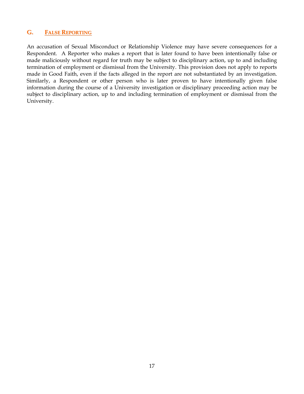#### **G. FALSE REPORTING**

An accusation of Sexual Misconduct or Relationship Violence may have severe consequences for a Respondent. A Reporter who makes a report that is later found to have been intentionally false or made maliciously without regard for truth may be subject to disciplinary action, up to and including termination of employment or dismissal from the University. This provision does not apply to reports made in Good Faith, even if the facts alleged in the report are not substantiated by an investigation. Similarly, a Respondent or other person who is later proven to have intentionally given false information during the course of a University investigation or disciplinary proceeding action may be subject to disciplinary action, up to and including termination of employment or dismissal from the University.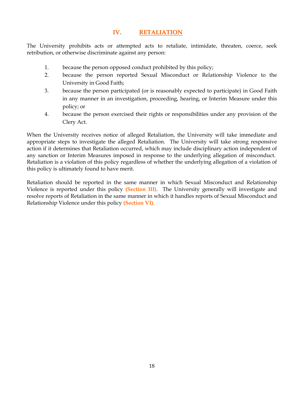#### **IV. RETALIATION**

The University prohibits acts or attempted acts to retaliate, intimidate, threaten, coerce, seek retribution, or otherwise discriminate against any person:

- 1. because the person opposed conduct prohibited by this policy;
- 2. because the person reported Sexual Misconduct or Relationship Violence to the University in Good Faith;
- 3. because the person participated (or is reasonably expected to participate) in Good Faith in any manner in an investigation, proceeding, hearing, or Interim Measure under this policy; or
- 4. because the person exercised their rights or responsibilities under any provision of the Clery Act.

When the University receives notice of alleged Retaliation, the University will take immediate and appropriate steps to investigate the alleged Retaliation. The University will take strong responsive action if it determines that Retaliation occurred, which may include disciplinary action independent of any sanction or Interim Measures imposed in response to the underlying allegation of misconduct. Retaliation is a violation of this policy regardless of whether the underlying allegation of a violation of this policy is ultimately found to have merit.

Retaliation should be reported in the same manner in which Sexual Misconduct and Relationship Violence is reported under this policy **(Section III)**. The University generally will investigate and resolve reports of Retaliation in the same manner in which it handles reports of Sexual Misconduct and Relationship Violence under this policy **(Section VI)**.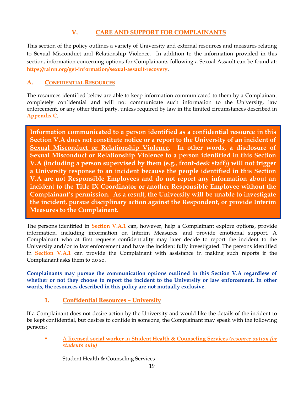## **V. CARE AND SUPPORT FOR COMPLAINANTS**

This section of the policy outlines a variety of University and external resources and measures relating to Sexual Misconduct and Relationship Violence. In addition to the information provided in this section, information concerning options for Complainants following a Sexual Assault can be found at: **<https://rainn.org/get-information/sexual-assault-recovery>**.

## **A. CONFIDENTIAL RESOURCES**

The resources identified below are able to keep information communicated to them by a Complainant completely confidential and will not communicate such information to the University, law enforcement, or any other third party, unless required by law in the limited circumstances described in **Appendix C**.

**Information communicated to a person identified as a confidential resource in this Section V.A does not constitute notice or a report to the University of an incident of Sexual Misconduct or Relationship Violence. In other words, a disclosure of Sexual Misconduct or Relationship Violence to a person identified in this Section V.A (including a person supervised by them (e.g., front-desk staff)) will not trigger a University response to an incident because the people identified in this Section V.A are not Responsible Employees and do not report any information about an incident to the Title IX Coordinator or another Responsible Employee without the Complainant's permission. As a result, the University will be unable to investigate the incident, pursue disciplinary action against the Respondent, or provide Interim Measures to the Complainant.**

The persons identified in **Section V.A.1** can, however, help a Complainant explore options, provide information, including information on Interim Measures, and provide emotional support. A Complainant who at first requests confidentiality may later decide to report the incident to the University and/or to law enforcement and have the incident fully investigated. The persons identified in **Section V.A.1** can provide the Complainant with assistance in making such reports if the Complainant asks them to do so.

**Complainants may pursue the communication options outlined in this Section V.A regardless of whether or not they choose to report the incident to the University or law enforcement. In other words, the resources described in this policy are not mutually exclusive.**

## **1. Confidential Resources – University**

If a Complainant does not desire action by the University and would like the details of the incident to be kept confidential, but desires to confide in someone, the Complainant may speak with the following persons:

 A **licensed social worker** in **Student Health & Counseling Services** *(resource option for students only)*

Student Health & Counseling Services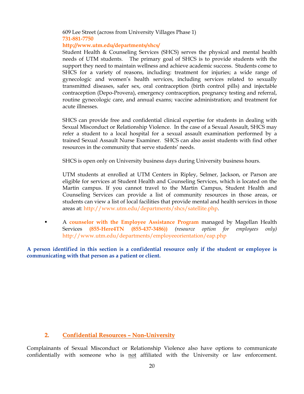#### 609 Lee Street (across from University Villages Phase 1) **731-881-7750**

#### **<http://www.utm.edu/departments/shcs/>**

Student Health & Counseling Services (SHCS) serves the physical and mental health needs of UTM students. The primary goal of SHCS is to provide students with the support they need to maintain wellness and achieve academic success. Students come to SHCS for a variety of reasons, including: treatment for injuries; a wide range of gynecologic and women's health services, including services related to sexually transmitted diseases, safer sex, oral contraception (birth control pills) and injectable contraception (Depo-Provera), emergency contraception, pregnancy testing and referral, routine gynecologic care, and annual exams; vaccine administration; and treatment for acute illnesses.

SHCS can provide free and confidential clinical expertise for students in dealing with Sexual Misconduct or Relationship Violence. In the case of a Sexual Assault, SHCS may refer a student to a local hospital for a sexual assault examination performed by a trained Sexual Assault Nurse Examiner. SHCS can also assist students with find other resources in the community that serve students' needs.

SHCS is open only on University business days during University business hours.

UTM students at enrolled at UTM Centers in Ripley, Selmer, Jackson, or Parson are eligible for services at Student Health and Counseling Services, which is located on the Martin campus. If you cannot travel to the Martin Campus, Student Health and Counseling Services can provide a list of community resources in those areas, or students can view a list of local facilities that provide mental and health services in those areas at: [http://www.utm.edu/departments/shcs/satellite.php.](http://www.utm.edu/departments/shcs/satellite.php)

 A **counselor with the [Employee Assistance Program](http://hr.utk.edu/employee-relations/employee-assistance/)** managed by Magellan Health Services **(855-Here4TN (855-437-3486))** *(resource option for employees only)* <http://www.utm.edu/departments/employeeorientation/eap.php>

**A person identified in this section is a confidential resource only if the student or employee is communicating with that person as a patient or client.** 

#### **2. Confidential Resources – Non-University**

Complainants of Sexual Misconduct or Relationship Violence also have options to communicate confidentially with someone who is not affiliated with the University or law enforcement.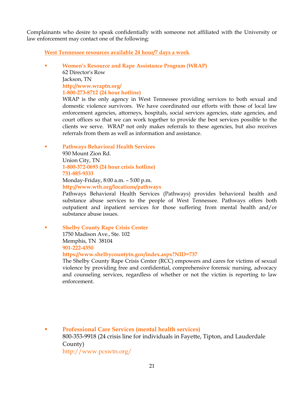Complainants who desire to speak confidentially with someone not affiliated with the University or law enforcement may contact one of the following:

**West Tennessee resources available 24 hour/7 days a week**

 **Women's Resource and Rape Assistance Program (WRAP)** 62 Director's Row Jackson, TN **<http://www.wraptn.org/> 1-800-273-8712 (24 hour hotline)**

WRAP is the only agency in West Tennessee providing services to both sexual and domestic violence survivors. We have coordinated our efforts with those of local law enforcement agencies, attorneys, hospitals, social services agencies, state agencies, and court offices so that we can work together to provide the best services possible to the clients we serve. WRAP not only makes referrals to these agencies, but also receives referrals from them as well as information and assistance.

**Pathways Behavioral Health Services**

930 Mount Zion Rd. Union City, TN **1-800-372-0693 (24 hour crisis hotline) 731-885-9333** Monday-Friday, 8:00 a.m. – 5:00 p.m. **<http://www.wth.org/locations/pathways>**

Pathways Behavioral Health Services (Pathways) provides behavioral health and substance abuse services to the people of West Tennessee. Pathways offers both outpatient and inpatient services for those suffering from mental health and/or substance abuse issues.

 **Shelby County Rape Crisis Center**  1750 Madison Ave., Ste. 102 Memphis, TN 38104 **901-222-4350 <https://www.shelbycountytn.gov/index.aspx?NID=737>**

The Shelby County Rape Crisis Center (RCC) empowers and cares for victims of sexual violence by providing free and confidential, comprehensive forensic nursing, advocacy and counseling services, regardless of whether or not the victim is reporting to law enforcement.

 **Professional Care Services (mental health services)** 800-353-9918 (24 crisis line for individuals in Fayette, Tipton, and Lauderdale County) <http://www.pcswtn.org/>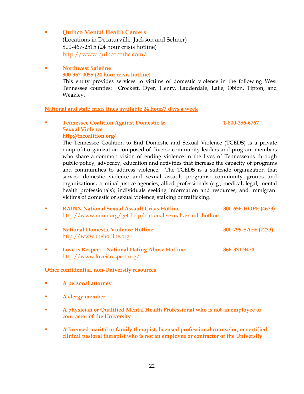- **Example 3 Updar Contrary Conters** (Locations in Decaturville, Jackson and Selmer) 800-467-2515 (24 hour crisis hotline) <http://www.quincocmhc.com/>
- **Northwest Safeline 800-957-0055 (24 hour crisis hotline)** This entity provides services to victims of domestic violence in the following West Tennessee counties: Crockett, Dyer, Henry, Lauderdale, Lake, Obion, Tipton, and Weakley.

#### **National and state crisis lines available 24 hour/7 days a week**

 **Tennessee Coalition Against Domestic & 1-800-356-6767 Sexual Violence <http://tncoalition.org/>**

The Tennessee Coalition to End Domestic and Sexual Violence (TCEDS) is a private nonprofit organization composed of diverse community leaders and program members who share a common vision of ending violence in the lives of Tennesseans through public policy, advocacy, education and activities that increase the capacity of programs and communities to address violence. The TCEDS is a stateside organization that serves: domestic violence and sexual assault programs; community groups and organizations; criminal justice agencies; allied professionals (e.g., medical, legal, mental health professionals); individuals seeking information and resources; and immigrant victims of domestic or sexual violence, stalking or trafficking.

| ٠        | <b>RAINN National Sexual Assault Crisis Hotline</b><br>http://www.rainn.org/get-help/national-sexual-assault-hotline | 800-656-HOPE (4673) |
|----------|----------------------------------------------------------------------------------------------------------------------|---------------------|
| <b>I</b> | <b>National Domestic Violence Hotline</b><br>http://www.thehotline.org                                               | 800-799-SAFE (7233) |
| ×        | Love is Respect - National Dating Abuse Hotline<br>http://www.loveisrespect.org/                                     | 866-331-9474        |

#### **Other confidential, non-University resources**

- **A personal attorney**
- **A clergy member**
- **A physician or Qualified Mental Health Professional who is not an employee or contractor of the University**
- **A licensed marital or family therapist, licensed professional counselor, or certified clinical pastoral therapist who is not an employee or contractor of the University**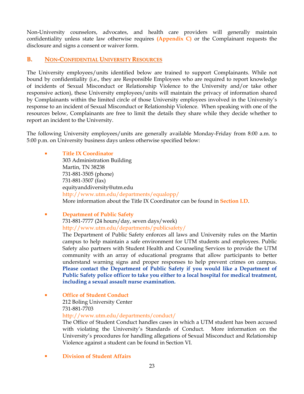Non-University counselors, advocates, and health care providers will generally maintain confidentiality unless state law otherwise requires **(Appendix C)** or the Complainant requests the disclosure and signs a consent or waiver form.

#### **B. NON-CONFIDENTIAL UNIVERSITY RESOURCES**

The University employees/units identified below are trained to support Complainants. While not bound by confidentiality (i.e., they are Responsible Employees who are required to report knowledge of incidents of Sexual Misconduct or Relationship Violence to the University and/or take other responsive action), these University employees/units will maintain the privacy of information shared by Complainants within the limited circle of those University employees involved in the University's response to an incident of Sexual Misconduct or Relationship Violence. When speaking with one of the resources below, Complainants are free to limit the details they share while they decide whether to report an incident to the University.

The following University employees/units are generally available Monday-Friday from 8:00 a.m. to 5:00 p.m. on University business days unless otherwise specified below:

#### **Title IX Coordinator**

303 Administration Building Martin, TN 38238 731-881-3505 (phone) 731-881-3507 (fax) [equityanddiversity@utm.edu](mailto:equityanddiversity@utm.edu) <http://www.utm.edu/departments/equalopp/> More information about the Title IX Coordinator can be found in **Section I.D**.

**Physical Equation Department of Public Safety** 731-881-7777 (24 hours/day, seven days/week) <http://www.utm.edu/departments/publicsafety/> The Department of Public Safety enforces all laws and University rules on the Martin

campus to help maintain a safe environment for UTM students and employees. Public Safety also partners with Student Health and Counseling Services to provide the UTM community with an array of educational programs that allow participants to better understand warning signs and proper responses to help prevent crimes on campus. **Please contact the Department of Public Safety if you would like a Department of Public Safety police officer to take you either to a local hospital for medical treatment, including a sexual assault nurse examination.**

**Office of Student Conduct**

212 Boling University Center 731-881-7703

<http://www.utm.edu/departments/conduct/>

The Office of Student Conduct handles cases in which a UTM student has been accused with violating the University's Standards of Conduct. More information on the University's procedures for handling allegations of Sexual Misconduct and Relationship Violence against a student can be found in Section VI.

**Division of Student Affairs**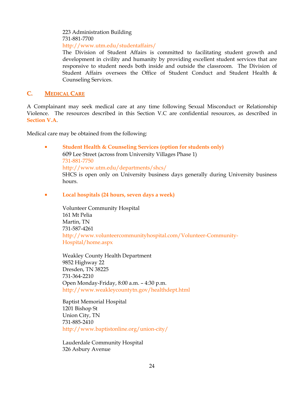223 Administration Building 731-881-7700 <http://www.utm.edu/studentaffairs/>

The Division of Student Affairs is committed to facilitating student growth and development in civility and humanity by providing excellent student services that are responsive to student needs both inside and outside the classroom. The Division of Student Affairs oversees the Office of Student Conduct and Student Health & Counseling Services.

#### **C. MEDICAL CARE**

A Complainant may seek medical care at any time following Sexual Misconduct or Relationship Violence. The resources described in this Section V.C are confidential resources, as described in **Section V.A**.

Medical care may be obtained from the following:

**Student Health & Counseling Services (option for students only)** 609 Lee Street (across from University Villages Phase 1) 731-881-7750 <http://www.utm.edu/departments/shcs/> SHCS is open only on University business days generally during University business hours.

**Local hospitals (24 hours, seven days a week)**

Volunteer Community Hospital 161 Mt Pelia Martin, TN 731-587-4261 [http://www.volunteercommunityhospital.com/Volunteer-Community-](http://www.volunteercommunityhospital.com/Volunteer-Community-Hospital/home.aspx)[Hospital/home.aspx](http://www.volunteercommunityhospital.com/Volunteer-Community-Hospital/home.aspx)

Weakley County Health Department 9852 Highway 22 Dresden, TN 38225 731-364-2210 Open Monday-Friday, 8:00 a.m. – 4:30 p.m. <http://www.weakleycountytn.gov/healthdept.html>

Baptist Memorial Hospital 1201 Bishop St Union City, TN 731-885-2410 <http://www.baptistonline.org/union-city/>

Lauderdale Community Hospital 326 Asbury Avenue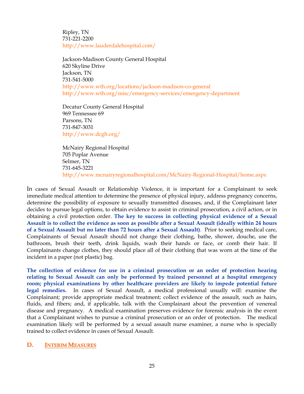Ripley, TN 731-221-2200 <http://www.lauderdalehospital.com/>

Jackson-Madison County General Hospital 620 Skyline Drive Jackson, TN 731-541-5000 <http://www.wth.org/locations/jackson-madison-co-general> <http://www.wth.org/misc/emergency-services/emergency-department>

Decatur County General Hospital 969 Tennessee 69 Parsons, TN 731-847-3031 <http://www.dcgh.org/>

McNairy Regional Hospital 705 Poplar Avenue Selmer, TN 731-645-3221 <http://www.mcnairyregionalhospital.com/McNairy-Regional-Hospital/home.aspx>

In cases of Sexual Assault or Relationship Violence, it is important for a Complainant to seek immediate medical attention to determine the presence of physical injury, address pregnancy concerns, determine the possibility of exposure to sexually transmitted diseases, and, if the Complainant later decides to pursue legal options, to obtain evidence to assist in criminal prosecution, a civil action, or in obtaining a civil protection order. **The key to success in collecting physical evidence of a Sexual Assault is to collect the evidence as soon as possible after a Sexual Assault (ideally within 24 hours of a Sexual Assault but no later than 72 hours after a Sexual Assault)**. Prior to seeking medical care, Complainants of Sexual Assault should not change their clothing, bathe, shower, douche, use the bathroom, brush their teeth, drink liquids, wash their hands or face, or comb their hair. If Complainants change clothes, they should place all of their clothing that was worn at the time of the incident in a paper (not plastic) bag.

**The collection of evidence for use in a criminal prosecution or an order of protection hearing relating to Sexual Assault can only be performed by trained personnel at a hospital emergency room; physical examinations by other healthcare providers are likely to impede potential future legal remedies.** In cases of Sexual Assault, a medical professional usually will: examine the Complainant; provide appropriate medical treatment; collect evidence of the assault, such as hairs, fluids, and fibers; and, if applicable, talk with the Complainant about the prevention of venereal disease and pregnancy. A medical examination preserves evidence for forensic analysis in the event that a Complainant wishes to pursue a criminal prosecution or an order of protection. The medical examination likely will be performed by a sexual assault nurse examiner, a nurse who is specially trained to collect evidence in cases of Sexual Assault.

#### **D. INTERIM MEASURES**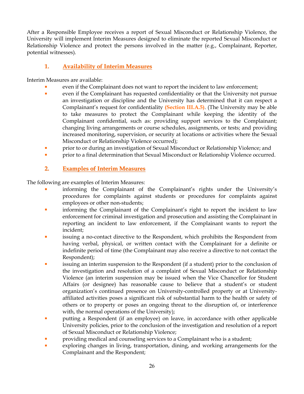After a Responsible Employee receives a report of Sexual Misconduct or Relationship Violence, the University will implement Interim Measures designed to eliminate the reported Sexual Misconduct or Relationship Violence and protect the persons involved in the matter (e.g., Complainant, Reporter, potential witnesses).

#### **1. Availability of Interim Measures**

Interim Measures are available:

- even if the Complainant does not want to report the incident to law enforcement;
- even if the Complainant has requested confidentiality or that the University not pursue an investigation or discipline and the University has determined that it can respect a Complainant's request for confidentiality **(Section III.A.5)**. (The University may be able to take measures to protect the Complainant while keeping the identity of the Complainant confidential, such as: providing support services to the Complainant; changing living arrangements or course schedules, assignments, or tests; and providing increased monitoring, supervision, or security at locations or activities where the Sexual Misconduct or Relationship Violence occurred);
- **Prior in the original investigation of Sexual Misconduct or Relationship Violence; and**
- **Prior to a final determination that Sexual Misconduct or Relationship Violence occurred.**

#### **2. Examples of Interim Measures**

The following are examples of Interim Measures:

- informing the Complainant of the Complainant's rights under the University's procedures for complaints against students or procedures for complaints against employees or other non-students;
- **informing the Complainant of the Complainant's right to report the incident to law** enforcement for criminal investigation and prosecution and assisting the Complainant in reporting an incident to law enforcement, if the Complainant wants to report the incident;
- issuing a no-contact directive to the Respondent, which prohibits the Respondent from having verbal, physical, or written contact with the Complainant for a definite or indefinite period of time (the Complainant may also receive a directive to not contact the Respondent);
- issuing an interim suspension to the Respondent (if a student) prior to the conclusion of the investigation and resolution of a complaint of Sexual Misconduct or Relationship Violence (an interim suspension may be issued when the Vice Chancellor for Student Affairs (or designee) has reasonable cause to believe that a student's or student organization's continued presence on University-controlled property or at Universityaffiliated activities poses a significant risk of substantial harm to the health or safety of others or to property or poses an ongoing threat to the disruption of, or interference with, the normal operations of the University);
- putting a Respondent (if an employee) on leave, in accordance with other applicable University policies, prior to the conclusion of the investigation and resolution of a report of Sexual Misconduct or Relationship Violence;
- providing medical and counseling services to a Complainant who is a student;
- exploring changes in living, transportation, dining, and working arrangements for the Complainant and the Respondent;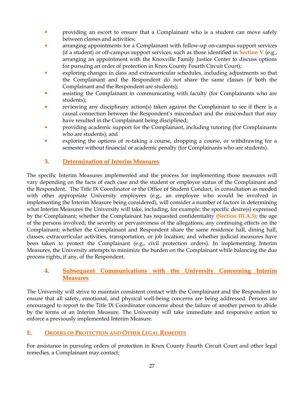- **Providing an escort to ensure that a Complainant who is a student can move safely** between classes and activities;
- arranging appointments for a Complainant with follow-up on-campus support services (if a student) or off-campus support services, such as those identified in **Section V** (e.g., arranging an appointment with the Knoxville Family Justice Center to discuss options for pursuing an order of protection in Knox County Fourth Circuit Court);
- exploring changes in class and extracurricular schedules, including adjustments so that the Complainant and the Respondent do not share the same classes (if both the Complainant and the Respondent are students);
- assisting the Complainant in communicating with faculty (for Complainants who are students);
- reviewing any disciplinary action(s) taken against the Complainant to see if there is a causal connection between the Respondent's misconduct and the misconduct that may have resulted in the Complainant being disciplined;
- **•** providing academic support for the Complainant, including tutoring (for Complainants who are students); and
- exploring the options of re-taking a course, dropping a course, or withdrawing for a semester without financial or academic penalty (for Complainants who are students).

## **3. Determination of Interim Measures**

The specific Interim Measures implemented and the process for implementing those measures will vary depending on the facts of each case and the student or employee status of the Complainant and the Respondent. The Title IX Coordinator or the Office of Student Conduct, in consultation as needed with other appropriate University employees (e.g., an employee who would be involved in implementing the Interim Measure being considered), will consider a number of factors in determining what Interim Measures the University will take, including, for example: the specific desire(s) expressed by the Complainant; whether the Complainant has requested confidentiality **(Section III.A.5)**; the age of the persons involved; the severity or pervasiveness of the allegations; any continuing effects on the Complainant; whether the Complainant and Respondent share the same residence hall, dining hall, classes, extracurricular activities, transportation, or job location; and whether judicial measures have been taken to protect the Complainant (e.g., civil protection orders). In implementing Interim Measures, the University attempts to minimize the burden on the Complainant while balancing the due process rights, if any, of the Respondent.

#### **4. Subsequent Communications with the University Concerning Interim Measures**

The University will strive to maintain consistent contact with the Complainant and the Respondent to ensure that all safety, emotional, and physical well-being concerns are being addressed. Persons are encouraged to report to the Title IX Coordinator concerns about the failure of another person to abide by the terms of an Interim Measure. The University will take immediate and responsive action to enforce a previously implemented Interim Measure.

## **E. ORDERS OF PROTECTION AND OTHER LEGAL REMEDIES**

For assistance in pursuing orders of protection in Knox County Fourth Circuit Court and other legal remedies, a Complainant may contact: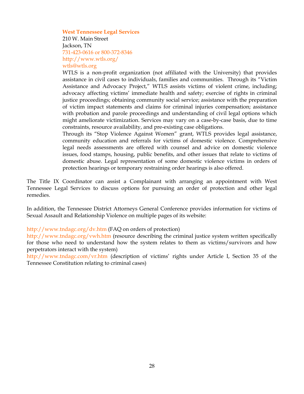#### **West Tennessee Legal Services**

210 W. Main Street Jackson, TN 731-423-0616 or 800-372-8346 <http://www.wtls.org/> [wtls@wtls.org](mailto:wtls@wtls.org)

WTLS is a non-profit organization (not affiliated with the University) that provides assistance in civil cases to individuals, families and communities. Through its "Victim Assistance and Advocacy Project," WTLS assists victims of violent crime, including; advocacy affecting victims' immediate health and safety; exercise of rights in criminal justice proceedings; obtaining community social service; assistance with the preparation of victim impact statements and claims for criminal injuries compensation; assistance with probation and parole proceedings and understanding of civil legal options which might ameliorate victimization. Services may vary on a case-by-case basis, due to time constraints, resource availability, and pre-existing case obligations.

Through its "Stop Violence Against Women" grant, WTLS provides legal assistance, community education and referrals for victims of domestic violence. Comprehensive legal needs assessments are offered with counsel and advice on domestic violence issues, food stamps, housing, public benefits, and other issues that relate to victims of domestic abuse. Legal representation of some domestic violence victims in orders of protection hearings or temporary restraining order hearings is also offered.

The Title IX Coordinator can assist a Complainant with arranging an appointment with West Tennessee Legal Services to discuss options for pursuing an order of protection and other legal remedies.

In addition, the Tennessee District Attorneys General Conference provides information for victims of Sexual Assault and Relationship Violence on multiple pages of its website:

#### <http://www.tndagc.org/dv.htm> (FAQ on orders of protection)

<http://www.tndagc.org/vwh.htm> (resource describing the criminal justice system written specifically for those who need to understand how the system relates to them as victims/survivors and how perpetrators interact with the system)

<http://www.tndagc.com/vr.htm> (description of victims' rights under Article I, Section 35 of the Tennessee Constitution relating to criminal cases)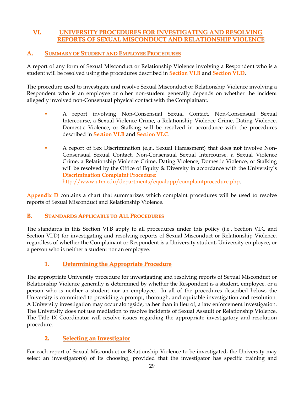## **VI. UNIVERSITY PROCEDURES FOR INVESTIGATING AND RESOLVING REPORTS OF SEXUAL MISCONDUCT AND RELATIONSHIP VIOLENCE**

## **A. SUMMARY OF STUDENT AND EMPLOYEE PROCEDURES**

A report of any form of Sexual Misconduct or Relationship Violence involving a Respondent who is a student will be resolved using the procedures described in **Section VI.B** and **Section VI.D**.

The procedure used to investigate and resolve Sexual Misconduct or Relationship Violence involving a Respondent who is an employee or other non-student generally depends on whether the incident allegedly involved non-Consensual physical contact with the Complainant.

- A report involving Non-Consensual Sexual Contact, Non-Consensual Sexual Intercourse, a Sexual Violence Crime, a Relationship Violence Crime, Dating Violence, Domestic Violence, or Stalking will be resolved in accordance with the procedures described in **Section VI.B** and **Section VI.C**.
- A report of Sex Discrimination (e.g., Sexual Harassment) that does **not** involve Non-Consensual Sexual Contact, Non-Consensual Sexual Intercourse, a Sexual Violence Crime, a Relationship Violence Crime, Dating Violence, Domestic Violence, or Stalking will be resolved by the Office of Equity & Diversity in accordance with the University's **Discrimination Complaint Procedure:** http://www.utm.edu/departments/equalopp/complaintprocedure.php.

**Appendix D** contains a chart that summarizes which complaint procedures will be used to resolve reports of Sexual Misconduct and Relationship Violence.

## **B. STANDARDS APPLICABLE TO ALL PROCEDURES**

The standards in this Section VI.B apply to all procedures under this policy (i.e., Section VI.C and Section VI.D) for investigating and resolving reports of Sexual Misconduct or Relationship Violence, regardless of whether the Complainant or Respondent is a University student, University employee, or a person who is neither a student nor an employee.

## **1. Determining the Appropriate Procedure**

The appropriate University procedure for investigating and resolving reports of Sexual Misconduct or Relationship Violence generally is determined by whether the Respondent is a student, employee, or a person who is neither a student nor an employee. In all of the procedures described below, the University is committed to providing a prompt, thorough, and equitable investigation and resolution. A University investigation may occur alongside, rather than in lieu of, a law enforcement investigation. The University does not use mediation to resolve incidents of Sexual Assault or Relationship Violence. The Title IX Coordinator will resolve issues regarding the appropriate investigatory and resolution procedure.

## **2. Selecting an Investigator**

For each report of Sexual Misconduct or Relationship Violence to be investigated, the University may select an investigator(s) of its choosing, provided that the investigator has specific training and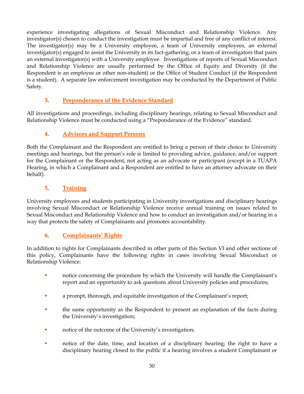experience investigating allegations of Sexual Misconduct and Relationship Violence. Any investigator(s) chosen to conduct the investigation must be impartial and free of any conflict of interest. The investigator(s) may be a University employee, a team of University employees, an external investigator(s) engaged to assist the University in its fact-gathering, or a team of investigators that pairs an external investigator(s) with a University employee. Investigations of reports of Sexual Misconduct and Relationship Violence are usually performed by the Office of Equity and Diversity (if the Respondent is an employee or other non-student) or the Office of Student Conduct (if the Respondent is a student). A separate law enforcement investigation may be conducted by the Department of Public Safety.

## **3. Preponderance of the Evidence Standard**

All investigations and proceedings, including disciplinary hearings, relating to Sexual Misconduct and Relationship Violence must be conducted using a "Preponderance of the Evidence" standard.

## **4. Advisors and Support Persons**

Both the Complainant and the Respondent are entitled to bring a person of their choice to University meetings and hearings, but the person's role is limited to providing advice, guidance, and/or support for the Complainant or the Respondent, not acting as an advocate or participant (except in a TUAPA Hearing, in which a Complainant and a Respondent are entitled to have an attorney advocate on their behalf).

## **5. Training**

University employees and students participating in University investigations and disciplinary hearings involving Sexual Misconduct or Relationship Violence receive annual training on issues related to Sexual Misconduct and Relationship Violence and how to conduct an investigation and/or hearing in a way that protects the safety of Complainants and promotes accountability.

## **6. Complainants' Rights**

In addition to rights for Complainants described in other parts of this Section VI and other sections of this policy, Complainants have the following rights in cases involving Sexual Misconduct or Relationship Violence:

- notice concerning the procedure by which the University will handle the Complainant's report and an opportunity to ask questions about University policies and procedures;
- a prompt, thorough, and equitable investigation of the Complainant's report;
- the same opportunity as the Respondent to present an explanation of the facts during the University's investigation;
- notice of the outcome of the University's investigation;
- **notice of the date, time, and location of a disciplinary hearing; the right to have a** disciplinary hearing closed to the public if a hearing involves a student Complainant or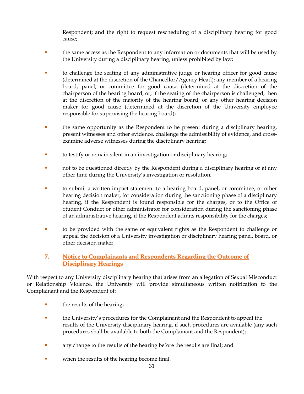Respondent; and the right to request rescheduling of a disciplinary hearing for good cause;

- the same access as the Respondent to any information or documents that will be used by the University during a disciplinary hearing, unless prohibited by law;
- to challenge the seating of any administrative judge or hearing officer for good cause (determined at the discretion of the Chancellor/Agency Head); any member of a hearing board, panel, or committee for good cause (determined at the discretion of the chairperson of the hearing board, or, if the seating of the chairperson is challenged, then at the discretion of the majority of the hearing board; or any other hearing decision maker for good cause (determined at the discretion of the University employee responsible for supervising the hearing board);
- the same opportunity as the Respondent to be present during a disciplinary hearing, present witnesses and other evidence, challenge the admissibility of evidence, and crossexamine adverse witnesses during the disciplinary hearing;
- to testify or remain silent in an investigation or disciplinary hearing;
- not to be questioned directly by the Respondent during a disciplinary hearing or at any other time during the University's investigation or resolution;
- to submit a written impact statement to a hearing board, panel, or committee, or other hearing decision maker, for consideration during the sanctioning phase of a disciplinary hearing, if the Respondent is found responsible for the charges, or to the Office of Student Conduct or other administrator for consideration during the sanctioning phase of an administrative hearing, if the Respondent admits responsibility for the charges;
- to be provided with the same or equivalent rights as the Respondent to challenge or appeal the decision of a University investigation or disciplinary hearing panel, board, or other decision maker.

## **7. Notice to Complainants and Respondents Regarding the Outcome of Disciplinary Hearings**

With respect to any University disciplinary hearing that arises from an allegation of Sexual Misconduct or Relationship Violence, the University will provide simultaneous written notification to the Complainant and the Respondent of:

- **the results of the hearing;**
- the University's procedures for the Complainant and the Respondent to appeal the results of the University disciplinary hearing, if such procedures are available (any such procedures shall be available to both the Complainant and the Respondent);
- any change to the results of the hearing before the results are final; and
- when the results of the hearing become final.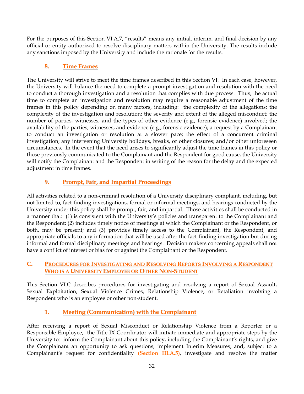For the purposes of this Section VI.A.7, "results" means any initial, interim, and final decision by any official or entity authorized to resolve disciplinary matters within the University. The results include any sanctions imposed by the University and include the rationale for the results.

## **8. Time Frames**

The University will strive to meet the time frames described in this Section VI. In each case, however, the University will balance the need to complete a prompt investigation and resolution with the need to conduct a thorough investigation and a resolution that complies with due process. Thus, the actual time to complete an investigation and resolution may require a reasonable adjustment of the time frames in this policy depending on many factors, including: the complexity of the allegations; the complexity of the investigation and resolution; the severity and extent of the alleged misconduct; the number of parties, witnesses, and the types of other evidence (e.g., forensic evidence) involved; the availability of the parties, witnesses, and evidence (e.g., forensic evidence); a request by a Complainant to conduct an investigation or resolution at a slower pace; the effect of a concurrent criminal investigation; any intervening University holidays, breaks, or other closures; and/or other unforeseen circumstances. In the event that the need arises to significantly adjust the time frames in this policy or those previously communicated to the Complainant and the Respondent for good cause, the University will notify the Complainant and the Respondent in writing of the reason for the delay and the expected adjustment in time frames.

## **9. Prompt, Fair, and Impartial Proceedings**

All activities related to a non-criminal resolution of a University disciplinary complaint, including, but not limited to, fact-finding investigations, formal or informal meetings, and hearings conducted by the University under this policy shall be prompt, fair, and impartial. Those activities shall be conducted in a manner that: (1) is consistent with the University's policies and transparent to the Complainant and the Respondent; (2) includes timely notice of meetings at which the Complainant or the Respondent, or both, may be present; and (3) provides timely access to the Complainant, the Respondent, and appropriate officials to any information that will be used after the fact-finding investigation but during informal and formal disciplinary meetings and hearings. Decision makers concerning appeals shall not have a conflict of interest or bias for or against the Complainant or the Respondent.

#### **C. PROCEDURES FOR INVESTIGATING AND RESOLVING REPORTS INVOLVING A RESPONDENT WHO IS A UNIVERSITY EMPLOYEE OR OTHER NON-STUDENT**

This Section VI.C describes procedures for investigating and resolving a report of Sexual Assault, Sexual Exploitation, Sexual Violence Crimes, Relationship Violence, or Retaliation involving a Respondent who is an employee or other non-student.

## **1. Meeting (Communication) with the Complainant**

After receiving a report of Sexual Misconduct or Relationship Violence from a Reporter or a Responsible Employee, the Title IX Coordinator will initiate immediate and appropriate steps by the University to: inform the Complainant about this policy, including the Complainant's rights, and give the Complainant an opportunity to ask questions; implement Interim Measures; and, subject to a Complainant's request for confidentiality **(Section III.A.5)**, investigate and resolve the matter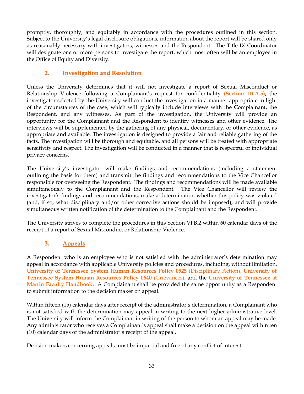promptly, thoroughly, and equitably in accordance with the procedures outlined in this section. Subject to the University's legal disclosure obligations, information about the report will be shared only as reasonably necessary with investigators, witnesses and the Respondent. The Title IX Coordinator will designate one or more persons to investigate the report, which most often will be an employee in the Office of Equity and Diversity.

## **2. Investigation and Resolution**

Unless the University determines that it will not investigate a report of Sexual Misconduct or Relationship Violence following a Complainant's request for confidentiality **(Section III.A.5)**, the investigator selected by the University will conduct the investigation in a manner appropriate in light of the circumstances of the case, which will typically include interviews with the Complainant, the Respondent, and any witnesses. As part of the investigation, the University will provide an opportunity for the Complainant and the Respondent to identify witnesses and other evidence. The interviews will be supplemented by the gathering of any physical, documentary, or other evidence, as appropriate and available. The investigation is designed to provide a fair and reliable gathering of the facts. The investigation will be thorough and equitable, and all persons will be treated with appropriate sensitivity and respect. The investigation will be conducted in a manner that is respectful of individual privacy concerns.

The University's investigator will make findings and recommendations (including a statement outlining the basis for them) and transmit the findings and recommendations to the Vice Chancellor responsible for overseeing the Respondent. The findings and recommendations will be made available simultaneously to the Complainant and the Respondent. The Vice Chancellor will review the investigator's findings and recommendations, make a determination whether this policy was violated (and, if so, what disciplinary and/or other corrective actions should be imposed), and will provide simultaneous written notification of the determination to the Complainant and the Respondent.

The University strives to complete the procedures in this Section VI.B.2 within 60 calendar days of the receipt of a report of Sexual Misconduct or Relationship Violence.

## **3. Appeals**

A Respondent who is an employee who is not satisfied with the administrator's determination may appeal in accordance with applicable University policies and procedures, including, without limitation, **[University of Tennessee System Human Resources Policy 0525](http://policy.tennessee.edu/hr_policy/hr0525/)** (Disciplinary Action), **[University of](http://policy.tennessee.edu/hr_policy/hr0640/)  [Tennessee System Human Resources Policy 0640](http://policy.tennessee.edu/hr_policy/hr0640/)** (Grievances), and the **[University of Tennessee at](http://www.utm.edu/departments/acadaff/_docs/fachbook.pdf)  [Martin Faculty Handbook.](http://www.utm.edu/departments/acadaff/_docs/fachbook.pdf)** A Complainant shall be provided the same opportunity as a Respondent to submit information to the decision maker on appeal.

Within fifteen (15) calendar days after receipt of the administrator's determination, a Complainant who is not satisfied with the determination may appeal in writing to the next higher administrative level. The University will inform the Complainant in writing of the person to whom an appeal may be made. Any administrator who receives a Complainant's appeal shall make a decision on the appeal within ten (10) calendar days of the administrator's receipt of the appeal.

Decision makers concerning appeals must be impartial and free of any conflict of interest.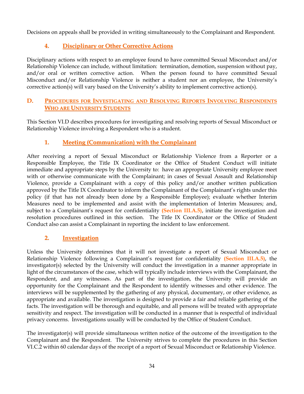Decisions on appeals shall be provided in writing simultaneously to the Complainant and Respondent.

## **4. Disciplinary or Other Corrective Actions**

Disciplinary actions with respect to an employee found to have committed Sexual Misconduct and/or Relationship Violence can include, without limitation: termination, demotion, suspension without pay, and/or oral or written corrective action. When the person found to have committed Sexual Misconduct and/or Relationship Violence is neither a student nor an employee, the University's corrective action(s) will vary based on the University's ability to implement corrective action(s).

## **D. PROCEDURES FOR INVESTIGATING AND RESOLVING REPORTS INVOLVING RESPONDENTS WHO ARE UNIVERSITY STUDENTS**

This Section VI.D describes procedures for investigating and resolving reports of Sexual Misconduct or Relationship Violence involving a Respondent who is a student.

## **1. Meeting (Communication) with the Complainant**

After receiving a report of Sexual Misconduct or Relationship Violence from a Reporter or a Responsible Employee, the Title IX Coordinator or the Office of Student Conduct will initiate immediate and appropriate steps by the University to: have an appropriate University employee meet with or otherwise communicate with the Complainant; in cases of Sexual Assault and Relationship Violence, provide a Complainant with a copy of this policy and/or another written publication approved by the Title IX Coordinator to inform the Complainant of the Complainant's rights under this policy (if that has not already been done by a Responsible Employee); evaluate whether Interim Measures need to be implemented and assist with the implementation of Interim Measures; and, subject to a Complainant's request for confidentiality **(Section III.A.5)**, initiate the investigation and resolution procedures outlined in this section. The Title IX Coordinator or the Office of Student Conduct also can assist a Complainant in reporting the incident to law enforcement.

## **2. Investigation**

Unless the University determines that it will not investigate a report of Sexual Misconduct or Relationship Violence following a Complainant's request for confidentiality **(Section III.A.5)**, the investigator(s) selected by the University will conduct the investigation in a manner appropriate in light of the circumstances of the case, which will typically include interviews with the Complainant, the Respondent, and any witnesses. As part of the investigation, the University will provide an opportunity for the Complainant and the Respondent to identify witnesses and other evidence. The interviews will be supplemented by the gathering of any physical, documentary, or other evidence, as appropriate and available. The investigation is designed to provide a fair and reliable gathering of the facts. The investigation will be thorough and equitable, and all persons will be treated with appropriate sensitivity and respect. The investigation will be conducted in a manner that is respectful of individual privacy concerns. Investigations usually will be conducted by the Office of Student Conduct.

The investigator(s) will provide simultaneous written notice of the outcome of the investigation to the Complainant and the Respondent. The University strives to complete the procedures in this Section VI.C.2 within 60 calendar days of the receipt of a report of Sexual Misconduct or Relationship Violence.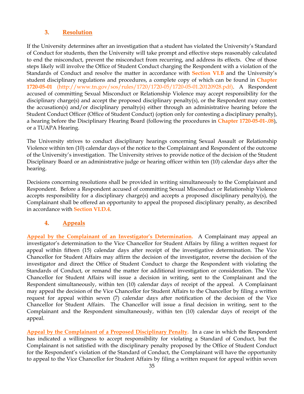#### **3. Resolution**

If the University determines after an investigation that a student has violated the University's Standard of Conduct for students, then the University will take prompt and effective steps reasonably calculated to end the misconduct, prevent the misconduct from recurring, and address its effects. One of those steps likely will involve the Office of Student Conduct charging the Respondent with a violation of the Standards of Conduct and resolve the matter in accordance with **Section VI.B** and the University's student disciplinary regulations and procedures, a complete copy of which can be found in **Chapter 1720-05-01** [\(http://www.tn.gov/sos/rules/1720/1720-05/1720-05-01.20120928.pdf\)](http://www.tn.gov/sos/rules/1720/1720-05/1720-05-01.20120928.pdf). A Respondent accused of committing Sexual Misconduct or Relationship Violence may accept responsibility for the disciplinary charge(s) and accept the proposed disciplinary penalty(s), or the Respondent may contest the accusation(s) and/or disciplinary penalty(s) either through an administrative hearing before the Student Conduct Officer (Office of Student Conduct) (option only for contesting a disciplinary penalty), a hearing before the Disciplinary Hearing Board (following the procedures in **Chapter 1720-05-01-.08**), or a TUAPA Hearing.

The University strives to conduct disciplinary hearings concerning Sexual Assault or Relationship Violence within ten (10) calendar days of the notice to the Complainant and Respondent of the outcome of the University's investigation. The University strives to provide notice of the decision of the Student Disciplinary Board or an administrative judge or hearing officer within ten (10) calendar days after the hearing.

Decisions concerning resolutions shall be provided in writing simultaneously to the Complainant and Respondent. Before a Respondent accused of committing Sexual Misconduct or Relationship Violence accepts responsibility for a disciplinary charge(s) and accepts a proposed disciplinary penalty(s), the Complainant shall be offered an opportunity to appeal the proposed disciplinary penalty, as described in accordance with **Section VI.D.4**.

## **4. Appeals**

**Appeal by the Complainant of an Investigator's Determination.** A Complainant may appeal an investigator's determination to the Vice Chancellor for Student Affairs by filing a written request for appeal within fifteen (15) calendar days after receipt of the investigative determination. The Vice Chancellor for Student Affairs may affirm the decision of the investigator, reverse the decision of the investigator and direct the Office of Student Conduct to charge the Respondent with violating the Standards of Conduct, or remand the matter for additional investigation or consideration. The Vice Chancellor for Student Affairs will issue a decision in writing, sent to the Complainant and the Respondent simultaneously, within ten (10) calendar days of receipt of the appeal. A Complainant may appeal the decision of the Vice Chancellor for Student Affairs to the Chancellor by filing a written request for appeal within seven (7) calendar days after notification of the decision of the Vice Chancellor for Student Affairs. The Chancellor will issue a final decision in writing, sent to the Complainant and the Respondent simultaneously, within ten (10) calendar days of receipt of the appeal.

**Appeal by the Complainant of a Proposed Disciplinary Penalty.** In a case in which the Respondent has indicated a willingness to accept responsibility for violating a Standard of Conduct, but the Complainant is not satisfied with the disciplinary penalty proposed by the Office of Student Conduct for the Respondent's violation of the Standard of Conduct, the Complainant will have the opportunity to appeal to the Vice Chancellor for Student Affairs by filing a written request for appeal within seven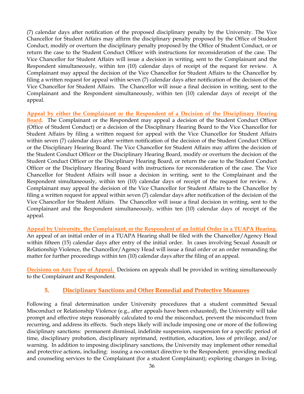(7) calendar days after notification of the proposed disciplinary penalty by the University. The Vice Chancellor for Student Affairs may affirm the disciplinary penalty proposed by the Office of Student Conduct, modify or overturn the disciplinary penalty proposed by the Office of Student Conduct, or or return the case to the Student Conduct Officer with instructions for reconsideration of the case. The Vice Chancellor for Student Affairs will issue a decision in writing, sent to the Complainant and the Respondent simultaneously, within ten (10) calendar days of receipt of the request for review. A Complainant may appeal the decision of the Vice Chancellor for Student Affairs to the Chancellor by filing a written request for appeal within seven (7) calendar days after notification of the decision of the Vice Chancellor for Student Affairs. The Chancellor will issue a final decision in writing, sent to the Complainant and the Respondent simultaneously, within ten (10) calendar days of receipt of the appeal.

**Appeal by either the Complainant or the Respondent of a Decision of the Disciplinary Hearing Board.** The Complainant or the Respondent may appeal a decision of the Student Conduct Officer (Office of Student Conduct) or a decision of the Disciplinary Hearing Board to the Vice Chancellor for Student Affairs by filing a written request for appeal with the Vice Chancellor for Student Affairs within seven (7) calendar days after written notification of the decision of the Student Conduct Officer or the Disciplinary Hearing Board. The Vice Chancellor for Student Affairs may affirm the decision of the Student Conduct Officer or the Disciplinary Hearing Board, modify or overturn the decision of the Student Conduct Officer or the Disciplinary Hearing Board, or return the case to the Student Conduct Officer or the Disciplinary Hearing Board with instructions for reconsideration of the case. The Vice Chancellor for Student Affairs will issue a decision in writing, sent to the Complainant and the Respondent simultaneously, within ten (10) calendar days of receipt of the request for review. A Complainant may appeal the decision of the Vice Chancellor for Student Affairs to the Chancellor by filing a written request for appeal within seven (7) calendar days after notification of the decision of the Vice Chancellor for Student Affairs. The Chancellor will issue a final decision in writing, sent to the Complainant and the Respondent simultaneously, within ten (10) calendar days of receipt of the appeal.

**Appeal by University, the Complainant, or the Respondent of an Initial Order in a TUAPA Hearing.**  An appeal of an initial order of in a TUAPA Hearing shall be filed with the Chancellor/Agency Head within fifteen (15) calendar days after entry of the initial order. In cases involving Sexual Assault or Relationship Violence, the Chancellor/Agency Head will issue a final order or an order remanding the matter for further proceedings within ten (10) calendar days after the filing of an appeal.

**Decisions on Any Type of Appeal.** Decisions on appeals shall be provided in writing simultaneously to the Complainant and Respondent.

## **5. Disciplinary Sanctions and Other Remedial and Protective Measures**

Following a final determination under University procedures that a student committed Sexual Misconduct or Relationship Violence (e.g., after appeals have been exhausted), the University will take prompt and effective steps reasonably calculated to end the misconduct, prevent the misconduct from recurring, and address its effects. Such steps likely will include imposing one or more of the following disciplinary sanctions: permanent dismissal, indefinite suspension, suspension for a specific period of time, disciplinary probation, disciplinary reprimand, restitution, education, loss of privilege, and/or warning. In addition to imposing disciplinary sanctions, the University may implement other remedial and protective actions, including: issuing a no-contact directive to the Respondent; providing medical and counseling services to the Complainant (for a student Complainant); exploring changes in living,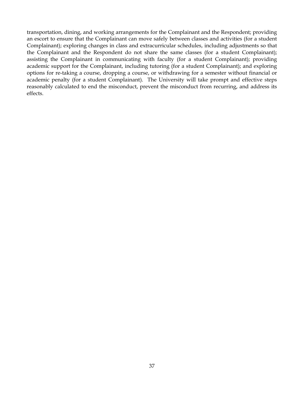transportation, dining, and working arrangements for the Complainant and the Respondent; providing an escort to ensure that the Complainant can move safely between classes and activities (for a student Complainant); exploring changes in class and extracurricular schedules, including adjustments so that the Complainant and the Respondent do not share the same classes (for a student Complainant); assisting the Complainant in communicating with faculty (for a student Complainant); providing academic support for the Complainant, including tutoring (for a student Complainant); and exploring options for re-taking a course, dropping a course, or withdrawing for a semester without financial or academic penalty (for a student Complainant). The University will take prompt and effective steps reasonably calculated to end the misconduct, prevent the misconduct from recurring, and address its effects.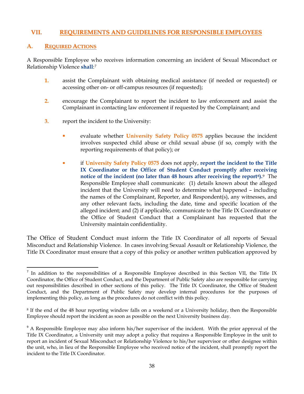#### **VII. REQUIREMENTS AND GUIDELINES FOR RESPONSIBLE EMPLOYEES**

#### **A. REQUIRED ACTIONS**

A Responsible Employee who receives information concerning an incident of Sexual Misconduct or Relationship Violence **shall**:[7](#page-41-0)

- **1.** assist the Complainant with obtaining medical assistance (if needed or requested) or accessing other on- or off-campus resources (if requested);
- **2.** encourage the Complainant to report the incident to law enforcement and assist the Complainant in contacting law enforcement if requested by the Complainant; and
- **3.** report the incident to the University:
	- evaluate whether **[University Safety Policy 0575](http://policy.tennessee.edu/safety_policy/sa0575/)** applies because the incident involves suspected child abuse or child sexual abuse (if so, comply with the reporting requirements of that policy); or
	- if **[University Safety Policy 0575](http://policy.tennessee.edu/safety_policy/sa0575/)** does not apply, **report the incident to the Title IX Coordinator or the Office of Student Conduct promptly after receiving notice of the incident (no later than 48 hours after receiving the report[8](#page-41-1)).**[9](#page-41-2) The Responsible Employee shall communicate: (1) details known about the alleged incident that the University will need to determine what happened – including the names of the Complainant, Reporter, and Respondent(s), any witnesses, and any other relevant facts, including the date, time and specific location of the alleged incident; and (2) if applicable, communicate to the Title IX Coordinator or the Office of Student Conduct that a Complainant has requested that the University maintain confidentiality.

The Office of Student Conduct must inform the Title IX Coordinator of all reports of Sexual Misconduct and Relationship Violence. In cases involving Sexual Assault or Relationship Violence, the Title IX Coordinator must ensure that a copy of this policy or another written publication approved by

<span id="page-41-0"></span><sup>&</sup>lt;sup>7</sup> In addition to the responsibilities of a Responsible Employee described in this Section VII, the Title IX Coordinator, the Office of Student Conduct, and the Department of Public Safety also are responsible for carrying out responsibilities described in other sections of this policy. The Title IX Coordinator, the Office of Student Conduct, and the Department of Public Safety may develop internal procedures for the purposes of implementing this policy, as long as the procedures do not conflict with this policy.

<span id="page-41-1"></span><sup>8</sup> If the end of the 48 hour reporting window falls on a weekend or a University holiday, then the Responsible Employee should report the incident as soon as possible on the next University business day.

<span id="page-41-2"></span><sup>&</sup>lt;sup>9</sup> A Responsible Employee may also inform his/her supervisor of the incident. With the prior approval of the Title IX Coordinator, a University unit may adopt a policy that requires a Responsible Employee in the unit to report an incident of Sexual Misconduct or Relationship Violence to his/her supervisor or other designee within the unit, who, in lieu of the Responsible Employee who received notice of the incident, shall promptly report the incident to the Title IX Coordinator.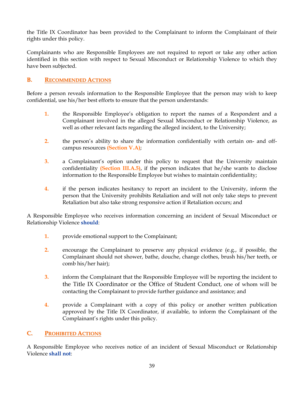the Title IX Coordinator has been provided to the Complainant to inform the Complainant of their rights under this policy.

Complainants who are Responsible Employees are not required to report or take any other action identified in this section with respect to Sexual Misconduct or Relationship Violence to which they have been subjected.

#### **B. RECOMMENDED ACTIONS**

Before a person reveals information to the Responsible Employee that the person may wish to keep confidential, use his/her best efforts to ensure that the person understands:

- **1.** the Responsible Employee's obligation to report the names of a Respondent and a Complainant involved in the alleged Sexual Misconduct or Relationship Violence, as well as other relevant facts regarding the alleged incident, to the University;
- **2.** the person's ability to share the information confidentially with certain on- and offcampus resources **(Section V.A)**;
- **3.** a Complainant's option under this policy to request that the University maintain confidentiality **(Section III.A.5)**, if the person indicates that he/she wants to disclose information to the Responsible Employee but wishes to maintain confidentiality;
- **4.** if the person indicates hesitancy to report an incident to the University, inform the person that the University prohibits Retaliation and will not only take steps to prevent Retaliation but also take strong responsive action if Retaliation occurs; and

A Responsible Employee who receives information concerning an incident of Sexual Misconduct or Relationship Violence **should**:

- **1.** provide emotional support to the Complainant;
- **2.** encourage the Complainant to preserve any physical evidence (e.g., if possible, the Complainant should not shower, bathe, douche, change clothes, brush his/her teeth, or comb his/her hair);
- **3.** inform the Complainant that the Responsible Employee will be reporting the incident to the Title IX Coordinator or the Office of Student Conduct, one of whom will be contacting the Complainant to provide further guidance and assistance; and
- **4.** provide a Complainant with a copy of this policy or another written publication approved by the Title IX Coordinator, if available, to inform the Complainant of the Complainant's rights under this policy.

#### **C. PROHIBITED ACTIONS**

A Responsible Employee who receives notice of an incident of Sexual Misconduct or Relationship Violence **shall not**: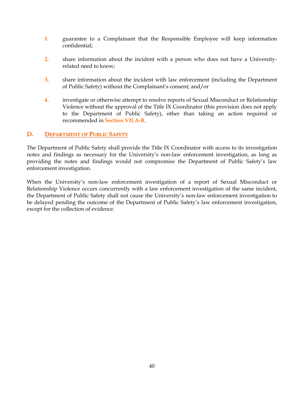- **1.** guarantee to a Complainant that the Responsible Employee will keep information confidential;
- **2.** share information about the incident with a person who does not have a Universityrelated need to know;
- **3.** share information about the incident with law enforcement (including the Department of Public Safety) without the Complainant's consent; and/or
- **4.** investigate or otherwise attempt to resolve reports of Sexual Misconduct or Relationship Violence without the approval of the Title IX Coordinator (this provision does not apply to the Department of Public Safety), other than taking an action required or recommended in **Section VII.A-B**.

#### **D. DEPARTMENT OF PUBLIC SAFETY**

The Department of Public Safety shall provide the Title IX Coordinator with access to its investigation notes and findings as necessary for the University's non-law enforcement investigation, as long as providing the notes and findings would not compromise the Department of Public Safety's law enforcement investigation.

When the University's non-law enforcement investigation of a report of Sexual Misconduct or Relationship Violence occurs concurrently with a law enforcement investigation of the same incident, the Department of Public Safety shall not cause the University's non-law enforcement investigation to be delayed pending the outcome of the Department of Public Safety's law enforcement investigation, except for the collection of evidence.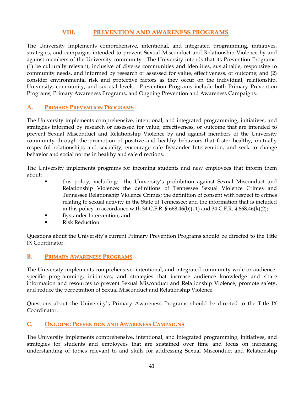#### **VIII. PREVENTION AND AWARENESS PROGRAMS**

The University implements comprehensive, intentional, and integrated programming, initiatives, strategies, and campaigns intended to prevent Sexual Misconduct and Relationship Violence by and against members of the University community. The University intends that its Prevention Programs: (1) be culturally relevant, inclusive of diverse communities and identities, sustainable, responsive to community needs, and informed by research or assessed for value, effectiveness, or outcome; and (2) consider environmental risk and protective factors as they occur on the individual, relationship, University, community, and societal levels. Prevention Programs include both Primary Prevention Programs, Primary Awareness Programs, and Ongoing Prevention and Awareness Campaigns.

#### **A. PRIMARY PREVENTION PROGRAMS**

The University implements comprehensive, intentional, and integrated programming, initiatives, and strategies informed by research or assessed for value, effectiveness, or outcome that are intended to prevent Sexual Misconduct and Relationship Violence by and against members of the University community through the promotion of positive and healthy behaviors that foster healthy, mutually respectful relationships and sexuality, encourage safe Bystander Intervention, and seek to change behavior and social norms in healthy and safe directions.

The University implements programs for incoming students and new employees that inform them about:

- this policy, including: the University's prohibition against Sexual Misconduct and Relationship Violence; the definitions of Tennessee Sexual Violence Crimes and Tennessee Relationship Violence Crimes; the definition of consent with respect to crimes relating to sexual activity in the State of Tennessee; and the information that is included in this policy in accordance with 34 C.F.R.  $\S 668.46(b)(11)$  and 34 C.F.R.  $\S 668.46(k)(2)$ ;
- Bystander Intervention; and
- Risk Reduction.

Questions about the University's current Primary Prevention Programs should be directed to the Title IX Coordinator.

#### **B. PRIMARY AWARENESS PROGRAMS**

The University implements comprehensive, intentional, and integrated community-wide or audiencespecific programming, initiatives, and strategies that increase audience knowledge and share information and resources to prevent Sexual Misconduct and Relationship Violence, promote safety, and reduce the perpetration of Sexual Misconduct and Relationship Violence.

Questions about the University's Primary Awareness Programs should be directed to the Title IX Coordinator.

#### **C. ONGOING PREVENTION AND AWARENESS CAMPAIGNS**

The University implements comprehensive, intentional, and integrated programming, initiatives, and strategies for students and employees that are sustained over time and focus on increasing understanding of topics relevant to and skills for addressing Sexual Misconduct and Relationship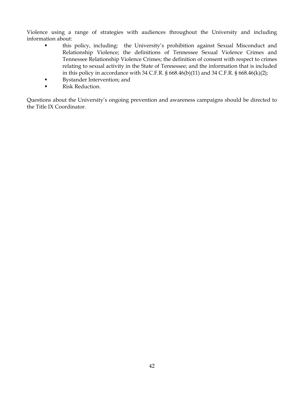Violence using a range of strategies with audiences throughout the University and including information about:

- this policy, including: the University's prohibition against Sexual Misconduct and Relationship Violence; the definitions of Tennessee Sexual Violence Crimes and Tennessee Relationship Violence Crimes; the definition of consent with respect to crimes relating to sexual activity in the State of Tennessee; and the information that is included in this policy in accordance with 34 C.F.R. § 668.46(b)(11) and 34 C.F.R. § 668.46(k)(2);
- Bystander Intervention; and
- **Risk Reduction.**

Questions about the University's ongoing prevention and awareness campaigns should be directed to the Title IX Coordinator.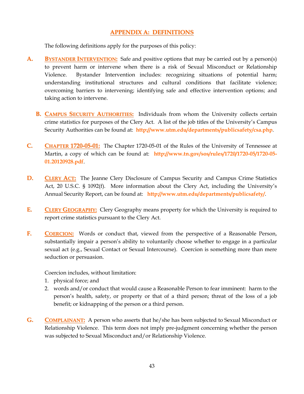#### **APPENDIX A: DEFINITIONS**

The following definitions apply for the purposes of this policy:

- **A. BYSTANDER INTERVENTION:** Safe and positive options that may be carried out by a person(s) to prevent harm or intervene when there is a risk of Sexual Misconduct or Relationship Violence. Bystander Intervention includes: recognizing situations of potential harm; understanding institutional structures and cultural conditions that facilitate violence; overcoming barriers to intervening; identifying safe and effective intervention options; and taking action to intervene.
	- **B. CAMPUS SECURITY AUTHORITIES:** Individuals from whom the University collects certain crime statistics for purposes of the Clery Act. A list of the job titles of the University's Campus Security Authorities can be found at: **http://www.utm.edu/departments/publicsafety/csa.php**.
- **C. CHAPTER 1720-05-01:** The Chapter 1720-05-01 of the Rules of the University of Tennessee at Martin, a copy of which can be found at: **[http://www.tn.gov/sos/rules/1720/1720-05/1720-05-](http://www.tn.gov/sos/rules/1720/1720-05/1720-05-01.20120928.pdf) [01.20120928.pdf](http://www.tn.gov/sos/rules/1720/1720-05/1720-05-01.20120928.pdf)**.
- **D. CLERY ACT:** The Jeanne Clery Disclosure of Campus Security and Campus Crime Statistics Act, 20 U.S.C. § 1092(f). More information about the Clery Act, including the University's Annual Security Report, can be found at: **http://www.utm.edu/departments/publicsafety/**.
- **E. CLERY GEOGRAPHY:** Clery Geography means property for which the University is required to report crime statistics pursuant to the Clery Act.
- **F. COERCION:** Words or conduct that, viewed from the perspective of a Reasonable Person, substantially impair a person's ability to voluntarily choose whether to engage in a particular sexual act (e.g., Sexual Contact or Sexual Intercourse). Coercion is something more than mere seduction or persuasion.

Coercion includes, without limitation:

- 1. physical force; and
- 2. words and/or conduct that would cause a Reasonable Person to fear imminent: harm to the person's health, safety, or property or that of a third person; threat of the loss of a job benefit; or kidnapping of the person or a third person.
- **G. COMPLAINANT:** A person who asserts that he/she has been subjected to Sexual Misconduct or Relationship Violence. This term does not imply pre-judgment concerning whether the person was subjected to Sexual Misconduct and/or Relationship Violence.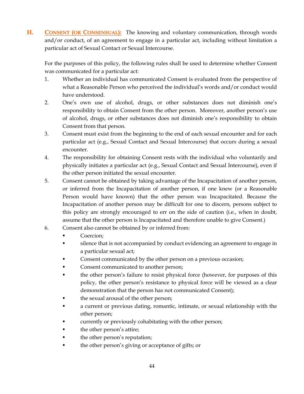**H. CONSENT (OR CONSENSUAL):** The knowing and voluntary communication, through words and/or conduct, of an agreement to engage in a particular act, including without limitation a particular act of Sexual Contact or Sexual Intercourse.

For the purposes of this policy, the following rules shall be used to determine whether Consent was communicated for a particular act:

- 1. Whether an individual has communicated Consent is evaluated from the perspective of what a Reasonable Person who perceived the individual's words and/or conduct would have understood.
- 2. One's own use of alcohol, drugs, or other substances does not diminish one's responsibility to obtain Consent from the other person. Moreover, another person's use of alcohol, drugs, or other substances does not diminish one's responsibility to obtain Consent from that person.
- 3. Consent must exist from the beginning to the end of each sexual encounter and for each particular act (e.g., Sexual Contact and Sexual Intercourse) that occurs during a sexual encounter.
- 4. The responsibility for obtaining Consent rests with the individual who voluntarily and physically initiates a particular act (e.g., Sexual Contact and Sexual Intercourse), even if the other person initiated the sexual encounter.
- 5. Consent cannot be obtained by taking advantage of the Incapacitation of another person, or inferred from the Incapacitation of another person, if one knew (or a Reasonable Person would have known) that the other person was Incapacitated. Because the Incapacitation of another person may be difficult for one to discern, persons subject to this policy are strongly encouraged to err on the side of caution (i.e., when in doubt, assume that the other person is Incapacitated and therefore unable to give Consent.)
- 6. Consent also cannot be obtained by or inferred from:
	- Coercion;
	- silence that is not accompanied by conduct evidencing an agreement to engage in a particular sexual act;
	- Consent communicated by the other person on a previous occasion;
	- Consent communicated to another person;
	- the other person's failure to resist physical force (however, for purposes of this policy, the other person's resistance to physical force will be viewed as a clear demonstration that the person has not communicated Consent);
	- the sexual arousal of the other person;
	- a current or previous dating, romantic, intimate, or sexual relationship with the other person;
	- currently or previously cohabitating with the other person;
	- the other person's attire;
	- the other person's reputation;
	- the other person's giving or acceptance of gifts; or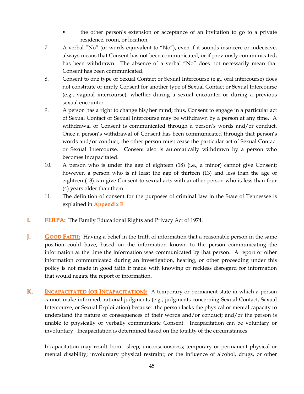- the other person's extension or acceptance of an invitation to go to a private residence, room, or location.
- 7. A verbal "No" (or words equivalent to "No"), even if it sounds insincere or indecisive, always means that Consent has not been communicated, or if previously communicated, has been withdrawn. The absence of a verbal "No" does not necessarily mean that Consent has been communicated.
- 8. Consent to one type of Sexual Contact or Sexual Intercourse (e.g., oral intercourse) does not constitute or imply Consent for another type of Sexual Contact or Sexual Intercourse (e.g., vaginal intercourse), whether during a sexual encounter or during a previous sexual encounter.
- 9. A person has a right to change his/her mind; thus, Consent to engage in a particular act of Sexual Contact or Sexual Intercourse may be withdrawn by a person at any time. A withdrawal of Consent is communicated through a person's words and/or conduct. Once a person's withdrawal of Consent has been communicated through that person's words and/or conduct, the other person must cease the particular act of Sexual Contact or Sexual Intercourse. Consent also is automatically withdrawn by a person who becomes Incapacitated.
- 10. A person who is under the age of eighteen (18) (i.e., a minor) cannot give Consent; however, a person who is at least the age of thirteen (13) and less than the age of eighteen (18) can give Consent to sexual acts with another person who is less than four (4) years older than them.
- 11. The definition of consent for the purposes of criminal law in the State of Tennessee is explained in **Appendix E**.
- **I. FERPA:** The Family Educational Rights and Privacy Act of 1974.
- **J. GOOD FAITH:** Having a belief in the truth of information that a reasonable person in the same position could have, based on the information known to the person communicating the information at the time the information was communicated by that person. A report or other information communicated during an investigation, hearing, or other proceeding under this policy is not made in good faith if made with knowing or reckless disregard for information that would negate the report or information.
- **K. INCAPACITATED (OR INCAPACITATION):** A temporary or permanent state in which a person cannot make informed, rational judgments (e.g., judgments concerning Sexual Contact, Sexual Intercourse, or Sexual Exploitation) because: the person lacks the physical or mental capacity to understand the nature or consequences of their words and/or conduct; and/or the person is unable to physically or verbally communicate Consent. Incapacitation can be voluntary or involuntary. Incapacitation is determined based on the totality of the circumstances.

Incapacitation may result from: sleep; unconsciousness; temporary or permanent physical or mental disability; involuntary physical restraint; or the influence of alcohol, drugs, or other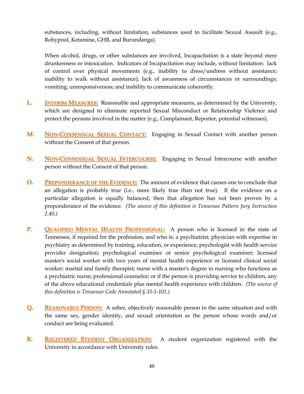substances, including, without limitation, substances used to facilitate Sexual Assault (e.g., Rohypnol, Ketamine, GHB, and Burundanga).

When alcohol, drugs, or other substances are involved, Incapacitation is a state beyond mere drunkenness or intoxication. Indicators of Incapacitation may include, without limitation: lack of control over physical movements (e.g., inability to dress/undress without assistance; inability to walk without assistance); lack of awareness of circumstances or surroundings; vomiting; unresponsiveness; and inability to communicate coherently.

- **L. INTERIM MEASURES:** Reasonable and appropriate measures, as determined by the University, which are designed to eliminate reported Sexual Misconduct or Relationship Violence and protect the persons involved in the matter (e.g., Complainant, Reporter, potential witnesses).
- **M. NON-CONSENSUAL SEXUAL CONTACT:** Engaging in Sexual Contact with another person without the Consent of that person.
- **N. NON-CONSENSUAL SEXUAL INTERCOURSE:** Engaging in Sexual Intercourse with another person without the Consent of that person.
- **O. PREPONDERANCE OF THE EVIDENCE:** The amount of evidence that causes one to conclude that an allegation is probably true (i.e., more likely true than not true). If the evidence on a particular allegation is equally balanced, then that allegation has not been proven by a preponderance of the evidence. *(The source of this definition is Tennessee Pattern Jury Instruction 2.40.)*
- **P. QUALIFIED MENTAL HEALTH PROFESSIONAL:** A person who is licensed in the state of Tennessee, if required for the profession, and who is: a psychiatrist; physician with expertise in psychiatry as determined by training, education, or experience; psychologist with health service provider designation; psychological examiner or senior psychological examiner; licensed master's social worker with two years of mental health experience or licensed clinical social worker; marital and family therapist; nurse with a master's degree in nursing who functions as a psychiatric nurse; professional counselor; or if the person is providing service to children, any of the above educational credentials plus mental health experience with children. *(The source of this definition is Tennessee Code Annotated § 33-1-101.)*
- **Q. REASONABLE PERSON:** A sober, objectively reasonable person in the same situation and with the same sex, gender identity, and sexual orientation as the person whose words and/or conduct are being evaluated.
- **R. REGISTERED STUDENT ORGANIZATION:** A student organization registered with the University in accordance with University rules.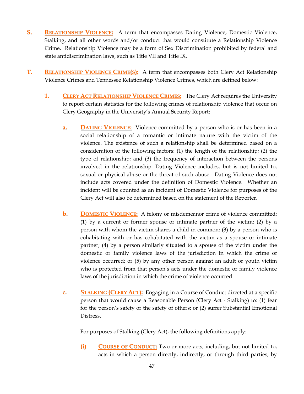- **S. RELATIONSHIP VIOLENCE:** A term that encompasses Dating Violence, Domestic Violence, Stalking, and all other words and/or conduct that would constitute a Relationship Violence Crime. Relationship Violence may be a form of Sex Discrimination prohibited by federal and state antidiscrimination laws, such as Title VII and Title IX.
- **T. RELATIONSHIP VIOLENCE CRIME(S):** A term that encompasses both Clery Act Relationship Violence Crimes and Tennessee Relationship Violence Crimes, which are defined below:
	- **1. CLERY ACT RELATIONSHIP VIOLENCE CRIMES:** The Clery Act requires the University to report certain statistics for the following crimes of relationship violence that occur on Clery Geography in the University's Annual Security Report:
		- **a. DATING VIOLENCE:** Violence committed by a person who is or has been in a social relationship of a romantic or intimate nature with the victim of the violence. The existence of such a relationship shall be determined based on a consideration of the following factors: (1) the length of the relationship; (2) the type of relationship; and (3) the frequency of interaction between the persons involved in the relationship. Dating Violence includes, but is not limited to, sexual or physical abuse or the threat of such abuse. Dating Violence does not include acts covered under the definition of Domestic Violence. Whether an incident will be counted as an incident of Domestic Violence for purposes of the Clery Act will also be determined based on the statement of the Reporter.
		- **b. DOMESTIC VIOLENCE:** A felony or misdemeanor crime of violence committed: (1) by a current or former spouse or intimate partner of the victim; (2) by a person with whom the victim shares a child in common; (3) by a person who is cohabitating with or has cohabitated with the victim as a spouse or intimate partner; (4) by a person similarly situated to a spouse of the victim under the domestic or family violence laws of the jurisdiction in which the crime of violence occurred; or (5) by any other person against an adult or youth victim who is protected from that person's acts under the domestic or family violence laws of the jurisdiction in which the crime of violence occurred.
		- **c. STALKING (CLERY ACT):** Engaging in a Course of Conduct directed at a specific person that would cause a Reasonable Person (Clery Act - Stalking) to: (1) fear for the person's safety or the safety of others; or (2) suffer Substantial Emotional Distress.

For purposes of Stalking (Clery Act), the following definitions apply:

**(i) COURSE OF CONDUCT:** Two or more acts, including, but not limited to, acts in which a person directly, indirectly, or through third parties, by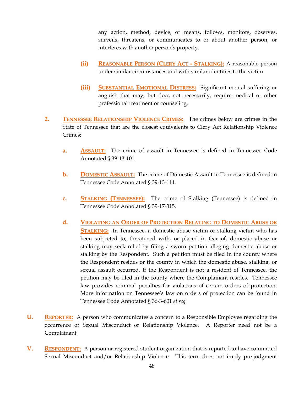any action, method, device, or means, follows, monitors, observes, surveils, threatens, or communicates to or about another person, or interferes with another person's property.

- **(ii) REASONABLE PERSON (CLERY ACT - STALKING):** A reasonable person under similar circumstances and with similar identities to the victim.
- **(iii) SUBSTANTIAL EMOTIONAL DISTRESS:** Significant mental suffering or anguish that may, but does not necessarily, require medical or other professional treatment or counseling.
- **2. TENNESSEE RELATIONSHIP VIOLENCE CRIMES:** The crimes below are crimes in the State of Tennessee that are the closest equivalents to Clery Act Relationship Violence Crimes:
	- **a. ASSAULT:** The crime of assault in Tennessee is defined in Tennessee Code Annotated § 39-13-101.
	- **b. DOMESTIC ASSAULT:** The crime of Domestic Assault in Tennessee is defined in Tennessee Code Annotated § 39-13-111.
	- **c. STALKING (TENNESSEE):** The crime of Stalking (Tennessee) is defined in Tennessee Code Annotated § 39-17-315.
	- **d. VIOLATING AN ORDER OF PROTECTION RELATING TO DOMESTIC ABUSE OR STALKING:** In Tennessee, a domestic abuse victim or stalking victim who has been subjected to, threatened with, or placed in fear of, domestic abuse or stalking may seek relief by filing a sworn petition alleging domestic abuse or stalking by the Respondent. Such a petition must be filed in the county where the Respondent resides or the county in which the domestic abuse, stalking, or sexual assault occurred. If the Respondent is not a resident of Tennessee, the petition may be filed in the county where the Complainant resides. Tennessee law provides criminal penalties for violations of certain orders of protection. More information on Tennessee's law on orders of protection can be found in Tennessee Code Annotated § 36-3-601 *et seq.*
- **U. REPORTER:** A person who communicates a concern to a Responsible Employee regarding the occurrence of Sexual Misconduct or Relationship Violence. A Reporter need not be a Complainant.
- **V. RESPONDENT:** A person or registered student organization that is reported to have committed Sexual Misconduct and/or Relationship Violence. This term does not imply pre-judgment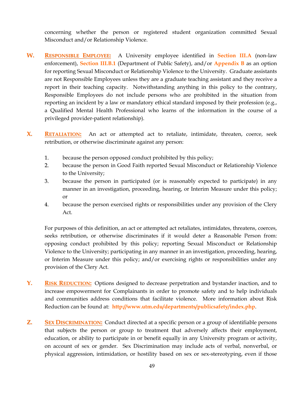concerning whether the person or registered student organization committed Sexual Misconduct and/or Relationship Violence.

- **W. RESPONSIBLE EMPLOYEE:** A University employee identified in **Section III.A** (non-law enforcement), **Section III.B.1** (Department of Public Safety), and/or **Appendix B** as an option for reporting Sexual Misconduct or Relationship Violence to the University. Graduate assistants are not Responsible Employees unless they are a graduate teaching assistant and they receive a report in their teaching capacity. Notwithstanding anything in this policy to the contrary, Responsible Employees do not include persons who are prohibited in the situation from reporting an incident by a law or mandatory ethical standard imposed by their profession (e.g., a Qualified Mental Health Professional who learns of the information in the course of a privileged provider-patient relationship).
- **X. RETALIATION:** An act or attempted act to retaliate, intimidate, threaten, coerce, seek retribution, or otherwise discriminate against any person:
	- 1. because the person opposed conduct prohibited by this policy;
	- 2. because the person in Good Faith reported Sexual Misconduct or Relationship Violence to the University;
	- 3. because the person in participated (or is reasonably expected to participate) in any manner in an investigation, proceeding, hearing, or Interim Measure under this policy; or
	- 4. because the person exercised rights or responsibilities under any provision of the Clery Act.

For purposes of this definition, an act or attempted act retaliates, intimidates, threatens, coerces, seeks retribution, or otherwise discriminates if it would deter a Reasonable Person from: opposing conduct prohibited by this policy; reporting Sexual Misconduct or Relationship Violence to the University; participating in any manner in an investigation, proceeding, hearing, or Interim Measure under this policy; and/or exercising rights or responsibilities under any provision of the Clery Act.

- **Y. RISK REDUCTION:** Options designed to decrease perpetration and bystander inaction, and to increase empowerment for Complainants in order to promote safety and to help individuals and communities address conditions that facilitate violence. More information about Risk Reduction can be found at: **<http://www.utm.edu/departments/publicsafety/index.php>**.
- **Z. SEX DISCRIMINATION:** Conduct directed at a specific person or a group of identifiable persons that subjects the person or group to treatment that adversely affects their employment, education, or ability to participate in or benefit equally in any University program or activity, on account of sex or gender. Sex Discrimination may include acts of verbal, nonverbal, or physical aggression, intimidation, or hostility based on sex or sex-stereotyping, even if those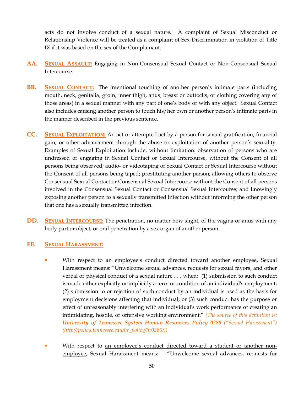acts do not involve conduct of a sexual nature. A complaint of Sexual Misconduct or Relationship Violence will be treated as a complaint of Sex Discrimination in violation of Title IX if it was based on the sex of the Complainant.

- **AA. SEXUAL ASSAULT:** Engaging in Non-Consensual Sexual Contact or Non-Consensual Sexual Intercourse.
- **BB. SEXUAL CONTACT:** The intentional touching of another person's intimate parts (including mouth, neck, genitalia, groin, inner thigh, anus, breast or buttocks, or clothing covering any of those areas) in a sexual manner with any part of one's body or with any object. Sexual Contact also includes causing another person to touch his/her own or another person's intimate parts in the manner described in the previous sentence.
- **CC. SEXUAL EXPLOITATION:** An act or attempted act by a person for sexual gratification, financial gain, or other advancement through the abuse or exploitation of another person's sexuality. Examples of Sexual Exploitation include, without limitation: observation of persons who are undressed or engaging in Sexual Contact or Sexual Intercourse, without the Consent of all persons being observed; audio- or videotaping of Sexual Contact or Sexual Intercourse without the Consent of all persons being taped; prostituting another person; allowing others to observe Consensual Sexual Contact or Consensual Sexual Intercourse without the Consent of all persons involved in the Consensual Sexual Contact or Consensual Sexual Intercourse; and knowingly exposing another person to a sexually transmitted infection without informing the other person that one has a sexually transmitted infection.
- **DD. SEXUAL INTERCOURSE:** The penetration, no matter how slight, of the vagina or anus with any body part or object; or oral penetration by a sex organ of another person.

#### **EE. SEXUAL HARASSMENT:**

- With respect to an employee's conduct directed toward another employee, Sexual Harassment means: "Unwelcome sexual advances, requests for sexual favors, and other verbal or physical conduct of a sexual nature . . . when: (1) submission to such conduct is made either explicitly or implicitly a term or condition of an individual's employment; (2) submission to or rejection of such conduct by an individual is used as the basis for employment decisions affecting that individual; or (3) such conduct has the purpose or effect of unreasonably interfering with an individual's work performance or creating an intimidating, hostile, or offensive working environment." *(The source of this definition is: University of Tennessee System Human Resources Policy [0280](http://policy.tennessee.edu/hr_policy/hr0280/) ("Sexual Harassment") [\(http://policy.tennessee.edu/hr\\_policy/hr0280/\)\)](http://policy.tennessee.edu/hr_policy/hr0280/))*
- **With respect to an employee's conduct directed toward a student or another non**employee, Sexual Harassment means: "Unwelcome sexual advances, requests for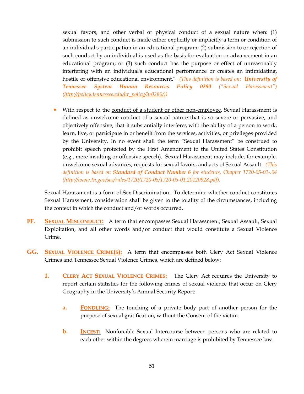sexual favors, and other verbal or physical conduct of a sexual nature when: (1) submission to such conduct is made either explicitly or implicitly a term or condition of an individual's participation in an educational program; (2) submission to or rejection of such conduct by an individual is used as the basis for evaluation or advancement in an educational program; or (3) such conduct has the purpose or effect of unreasonably interfering with an individual's educational performance or creates an intimidating, hostile or offensive educational environment." *(This definition is based on: University of Tennessee System Human Resources Policy [0280](http://policy.tennessee.edu/hr_policy/hr0280/) ("Sexual Harassment") [\(http://policy.tennessee.edu/hr\\_policy/hr0280/\)\)](http://policy.tennessee.edu/hr_policy/hr0280/))*

With respect to the conduct of a student or other non-employee, Sexual Harassment is defined as unwelcome conduct of a sexual nature that is so severe or pervasive, and objectively offensive, that it substantially interferes with the ability of a person to work, learn, live, or participate in or benefit from the services, activities, or privileges provided by the University. In no event shall the term "Sexual Harassment" be construed to prohibit speech protected by the First Amendment to the United States Constitution (e.g., mere insulting or offensive speech). Sexual Harassment may include, for example, unwelcome sexual advances, requests for sexual favors, and acts of Sexual Assault. *(This definition is based on Standard of Conduct Number 6 for students, Chapter 1720-05-01-.04 [\(http://www.tn.gov/sos/rules/1720/1720-05/1720-05-01.20120928.pdf\)](http://www.tn.gov/sos/rules/1720/1720-05/1720-05-01.20120928.pdf).*

Sexual Harassment is a form of Sex Discrimination. To determine whether conduct constitutes Sexual Harassment, consideration shall be given to the totality of the circumstances, including the context in which the conduct and/or words occurred.

- **FF. SEXUAL MISCONDUCT:** A term that encompasses Sexual Harassment, Sexual Assault, Sexual Exploitation, and all other words and/or conduct that would constitute a Sexual Violence Crime.
- **GG. SEXUAL VIOLENCE CRIME(S):** A term that encompasses both Clery Act Sexual Violence Crimes and Tennessee Sexual Violence Crimes, which are defined below:
	- **1. CLERY ACT SEXUAL VIOLENCE CRIMES:** The Clery Act requires the University to report certain statistics for the following crimes of sexual violence that occur on Clery Geography in the University's Annual Security Report:
		- **a. FONDLING:** The touching of a private body part of another person for the purpose of sexual gratification, without the Consent of the victim.
		- **b. INCEST:** Nonforcible Sexual Intercourse between persons who are related to each other within the degrees wherein marriage is prohibited by Tennessee law.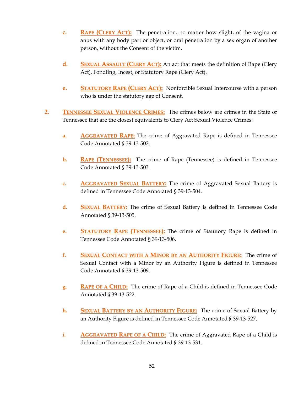- **c. RAPE (CLERY ACT):** The penetration, no matter how slight, of the vagina or anus with any body part or object, or oral penetration by a sex organ of another person, without the Consent of the victim.
- **d. SEXUAL ASSAULT (CLERY ACT):** An act that meets the definition of Rape (Clery Act), Fondling, Incest, or Statutory Rape (Clery Act).
- **e. STATUTORY RAPE (CLERY ACT):** Nonforcible Sexual Intercourse with a person who is under the statutory age of Consent.
- **2. TENNESSEE SEXUAL VIOLENCE CRIMES:** The crimes below are crimes in the State of Tennessee that are the closest equivalents to Clery Act Sexual Violence Crimes:
	- **a. AGGRAVATED RAPE:** The crime of Aggravated Rape is defined in Tennessee Code Annotated § 39-13-502.
	- **b. RAPE (TENNESSEE):** The crime of Rape (Tennessee) is defined in Tennessee Code Annotated § 39-13-503.
	- **c. AGGRAVATED SEXUAL BATTERY:** The crime of Aggravated Sexual Battery is defined in Tennessee Code Annotated § 39-13-504.
	- **d. SEXUAL BATTERY:** The crime of Sexual Battery is defined in Tennessee Code Annotated § 39-13-505.
	- **e. STATUTORY RAPE (TENNESSEE):** The crime of Statutory Rape is defined in Tennessee Code Annotated § 39-13-506.
	- **f. SEXUAL CONTACT WITH A MINOR BY AN AUTHORITY FIGURE:** The crime of Sexual Contact with a Minor by an Authority Figure is defined in Tennessee Code Annotated § 39-13-509.
	- **g. RAPE OF A CHILD:** The crime of Rape of a Child is defined in Tennessee Code Annotated § 39-13-522.
	- **h. SEXUAL BATTERY BY AN AUTHORITY FIGURE:** The crime of Sexual Battery by an Authority Figure is defined in Tennessee Code Annotated § 39-13-527.
	- **i. AGGRAVATED RAPE OF A CHILD:** The crime of Aggravated Rape of a Child is defined in Tennessee Code Annotated § 39-13-531.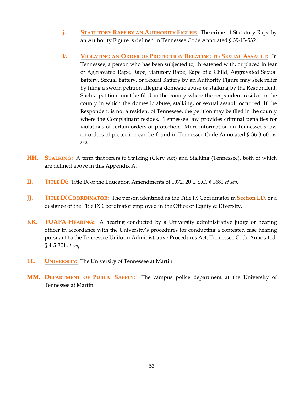- **j. STATUTORY RAPE BY AN AUTHORITY FIGURE:** The crime of Statutory Rape by an Authority Figure is defined in Tennessee Code Annotated § 39-13-532.
- **k. VIOLATING AN ORDER OF PROTECTION RELATING TO SEXUAL ASSAULT:** In Tennessee, a person who has been subjected to, threatened with, or placed in fear of Aggravated Rape, Rape, Statutory Rape, Rape of a Child, Aggravated Sexual Battery, Sexual Battery, or Sexual Battery by an Authority Figure may seek relief by filing a sworn petition alleging domestic abuse or stalking by the Respondent. Such a petition must be filed in the county where the respondent resides or the county in which the domestic abuse, stalking, or sexual assault occurred. If the Respondent is not a resident of Tennessee, the petition may be filed in the county where the Complainant resides. Tennessee law provides criminal penalties for violations of certain orders of protection. More information on Tennessee's law on orders of protection can be found in Tennessee Code Annotated § 36-3-601 *et seq.*
- **HH. STALKING:** A term that refers to Stalking (Clery Act) and Stalking (Tennessee), both of which are defined above in this Appendix A.
- **II. TITLE IX:** Title IX of the Education Amendments of 1972, 20 U.S.C. § 1681 *et seq.*
- **JJ. TITLE IX COORDINATOR:** The person identified as the Title IX Coordinator in **Section I.D.** or a designee of the Title IX Coordinator employed in the Office of Equity & Diversity.
- **KK. TUAPA HEARING:** A hearing conducted by a University administrative judge or hearing officer in accordance with the University's procedures for conducting a contested case hearing pursuant to the Tennessee Uniform Administrative Procedures Act, Tennessee Code Annotated, § 4-5-301 *et seq.*
- **LL. UNIVERSITY:** The University of Tennessee at Martin.
- **MM. DEPARTMENT OF PUBLIC SAFETY:** The campus police department at the University of Tennessee at Martin.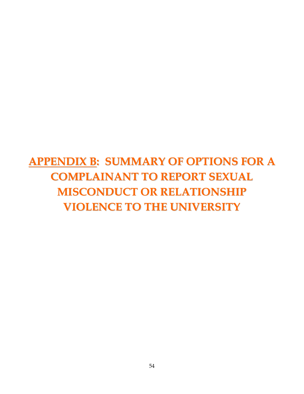# **APPENDIX B: SUMMARY OF OPTIONS FOR A COMPLAINANT TO REPORT SEXUAL MISCONDUCT OR RELATIONSHIP VIOLENCE TO THE UNIVERSITY**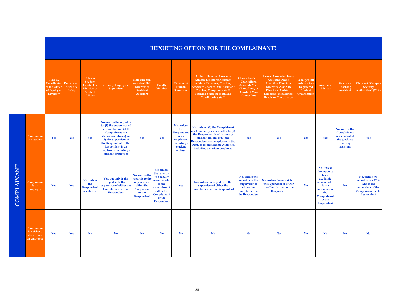|                    |                                                           |                                                                                 | REPORTING OPTION FOR THE COMPLAINANT? |                                                                                       |                                                                                                                                                                                                                                                    |                                                                                                                 |                                                                                                                                                  |                                                                                                    |                                                                                                                                                                                                                                                           |                                                                                                                                     |                                                                                                                                                                                                           |                                                                        |                                                                                                                                                 |                                                                                           |                                                                                                                    |
|--------------------|-----------------------------------------------------------|---------------------------------------------------------------------------------|---------------------------------------|---------------------------------------------------------------------------------------|----------------------------------------------------------------------------------------------------------------------------------------------------------------------------------------------------------------------------------------------------|-----------------------------------------------------------------------------------------------------------------|--------------------------------------------------------------------------------------------------------------------------------------------------|----------------------------------------------------------------------------------------------------|-----------------------------------------------------------------------------------------------------------------------------------------------------------------------------------------------------------------------------------------------------------|-------------------------------------------------------------------------------------------------------------------------------------|-----------------------------------------------------------------------------------------------------------------------------------------------------------------------------------------------------------|------------------------------------------------------------------------|-------------------------------------------------------------------------------------------------------------------------------------------------|-------------------------------------------------------------------------------------------|--------------------------------------------------------------------------------------------------------------------|
|                    |                                                           | Title IX<br>Coordinator Department<br>or the Office<br>of Equity &<br>Diversity | of Public<br>Safety                   | Office of<br>Student<br><b>Conduct or</b><br><b>Division</b> of<br>Student<br>Affairs | <b>Jniversity Employmen</b><br>Supervisor                                                                                                                                                                                                          | Hall Director,<br><b>Assistant Hall</b><br>Director, or<br>Resident<br>Assistant                                | Faculty<br>Member                                                                                                                                | Director of<br>Human<br><b>Resources</b>                                                           | <b>Athletic Director; Associate</b><br><b>Athletic Directors; Assistant</b><br><b>Athletic Directors; Coaches,</b><br><b>Associate Coaches, and Assistant</b><br><b>Coaches; Compliance staff;</b><br>Training Staff; Strength and<br>Conditioning staff; | <b>Chancellor</b> , Vice<br>Chancellors,<br><b>Associate Vice</b><br>Chancellors, or<br><b>Assistant Vice</b><br><b>Chancellors</b> | Deans, Associate Deans,<br><b>Assistant Deans,</b><br><b>Executive Directors,</b><br><b>Directors, Associate</b><br><b>Directors, Assistant</b><br>Directors, Department<br><b>Heads, or Coordinators</b> | Faculty/Staff<br>Advisor to a<br>Registered<br>Student<br>Organization | Academic<br>Advisor                                                                                                                             | Graduate<br>Teaching<br><b>Assistant</b>                                                  | <b>Clery Act "Campus</b><br>Security<br>Authorities" (CSA)                                                         |
| <b>COMPLAINANT</b> | Complainant<br>is a student                               | Yes                                                                             | Yes                                   | Yes                                                                                   | No, unless the report is<br>to: (1) the supervisor of<br>the Complainant (if the<br>Complainant is a<br>student-employee); or<br>(2) the supervisor of<br>the Respondent (if the<br>Respondent is an<br>employee, including a<br>student employee) | Yes                                                                                                             | Yes                                                                                                                                              | No, unless<br>the<br><b>Respondent</b><br>is an<br>employee,<br>including a<br>student<br>employee | No, unless: (1) the Complainant<br>is a University student-athlete; (2)<br>the Respondent is a University<br>student-athlete; or (3) the<br>Respondent is an employee in the<br>Dept. of Intercollegiate Athletics,<br>including a student employee       | Yes                                                                                                                                 | Yes                                                                                                                                                                                                       | Yes                                                                    | Yes                                                                                                                                             | No, unless the<br>Complainant<br>is a student of<br>the graduate<br>teaching<br>assistant | Yes                                                                                                                |
|                    | complainan<br>is an<br>employee                           | Yes                                                                             | Yes                                   | No, unless<br>the<br><b>Respondent</b><br>is a student                                | Yes, but only if the<br>report is to the<br>supervisor of either the<br><b>Complainant or the</b><br><b>Respondent</b>                                                                                                                             | No, unless the<br>report is to the<br>supervisor of<br>either the<br>Complainant<br>or the<br><b>Respondent</b> | No, unless<br>the report is<br>to a faculty<br>member who<br>is the<br>supervisor of<br>either the<br>Complainant<br>or the<br><b>Respondent</b> | Yes                                                                                                | No, unless the report is to the<br>supervisor of either the<br><b>Complainant or the Respondent</b>                                                                                                                                                       | No, unless the<br>report is to the<br>supervisor of<br>either the<br><b>Complainant</b> or<br>the Respondent                        | No, unless the report is to<br>the supervisor of either<br>the Complainant or the<br><b>Respondent</b>                                                                                                    | No                                                                     | No, unless<br>the report is<br>to an<br>academic<br>advisor who<br>is the<br>supervisor of<br>the<br>Complainant<br>or the<br><b>Respondent</b> | No                                                                                        | No, unless the<br>report is to a CSA<br>who is the<br>supervisor of the<br><b>Complainant or the</b><br>Respondent |
|                    | Complainant<br>is neither a<br>student nor<br>an employee | Yes                                                                             | Yes                                   | No                                                                                    | No                                                                                                                                                                                                                                                 | No                                                                                                              | No                                                                                                                                               | No                                                                                                 | No                                                                                                                                                                                                                                                        | No                                                                                                                                  | <b>No</b>                                                                                                                                                                                                 | No                                                                     | <b>No</b>                                                                                                                                       | <b>No</b>                                                                                 | No                                                                                                                 |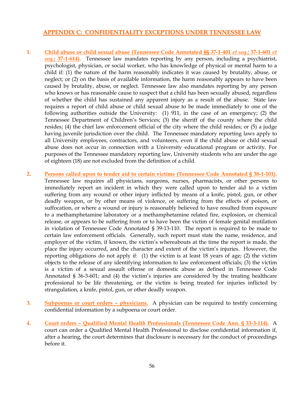#### **APPENDIX C: CONFIDENTIALITY EXCEPTIONS UNDER TENNESSEE LAW**

- **1. Child abuse or child sexual abuse (Tennessee Code Annotated §§ 37-1-401** *et seq.***; 37-1-601** *et seq.***; 37-1-614).** Tennessee law mandates reporting by any person, including a psychiatrist, psychologist, physician, or social worker, who has knowledge of physical or mental harm to a child if: (1) the nature of the harm reasonably indicates it was caused by brutality, abuse, or neglect; or (2) on the basis of available information, the harm reasonably appears to have been caused by brutality, abuse, or neglect. Tennessee law also mandates reporting by any person who knows or has reasonable cause to suspect that a child has been sexually abused, regardless of whether the child has sustained any apparent injury as a result of the abuse.State law requires a report of child abuse or child sexual abuse to be made immediately to one of the following authorities outside the University: (1) 911, in the case of an emergency; (2) the Tennessee Department of Children's Services; (3) the sheriff of the county where the child resides; (4) the chief law enforcement official of the city where the child resides; or (5) a judge having juvenile jurisdiction over the child. The Tennessee mandatory reporting laws apply to all University employees, contractors, and volunteers, even if the child abuse or child sexual abuse does not occur in connection with a University educational program or activity. For purposes of the Tennessee mandatory reporting law, University students who are under the age of eighteen (18) are not excluded from the definition of a child.
- **2. Persons called upon to tender aid to certain victims (Tennessee Code Annotated § 38-1-101).** Tennessee law requires all physicians, surgeons, nurses, pharmacists, or other persons to immediately report an incident in which they were called upon to tender aid to a victim suffering from any wound or other injury inflicted by means of a knife, pistol, gun, or other deadly weapon, or by other means of violence, or suffering from the effects of poison, or suffocation, or where a wound or injury is reasonably believed to have resulted from exposure to a methamphetamine laboratory or a methamphetamine related fire, explosion, or chemical release, or appears to be suffering from or to have been the victim of female genital mutilation in violation of Tennessee Code Annotated [§ 39-13-110.](https://a.next.westlaw.com/Link/Document/FullText?findType=L&pubNum=1000039&cite=TNSTS39-13-110&originatingDoc=N20B78391DBA511E18DACD7A1C03FBF4E&refType=LQ&originationContext=document&transitionType=DocumentItem&contextData=(sc.UserEnteredCitation)) The report is required to be made to certain law enforcement officials. Generally, such report must state the name, residence, and employer of the victim, if known, the victim's whereabouts at the time the report is made, the place the injury occurred, and the character and extent of the victim's injuries. However, the reporting obligations do not apply if: (1) the victim is at least 18 years of age; (2) the victim objects to the release of any identifying information to law enforcement officials; (3) the victim is a victim of a sexual assault offense or domestic abuse as defined in Tennessee Code Annotated § 36-3-601; and (4) the victim's injuries are considered by the treating healthcare professional to be life threatening, or the victim is being treated for injuries inflicted by strangulation, a knife, pistol, gun, or other deadly weapon.
- **3. Subpoenas or court orders – physicians.** A physician can be required to testify concerning confidential information by a subpoena or court order.
- **4. Court orders – Qualified Mental Health Professionals (Tennessee Code Ann. § 33-3-114).** A court can order a Qualified Mental Health Professional to disclose confidential information if, after a hearing, the court determines that disclosure is necessary for the conduct of proceedings before it.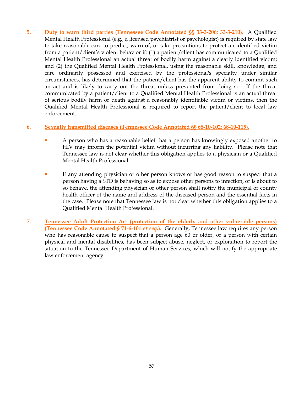**5. Duty to warn third parties (Tennessee Code Annotated §§ 33-3-206; 33-3-210).** A Qualified Mental Health Professional (e.g., a licensed psychiatrist or psychologist) is required by state law to take reasonable care to predict, warn of, or take precautions to protect an identified victim from a patient/client's violent behavior if: (1) a patient/client has communicated to a Qualified Mental Health Professional an actual threat of bodily harm against a clearly identified victim; and (2) the Qualified Mental Health Professional, using the reasonable skill, knowledge, and care ordinarily possessed and exercised by the professional's specialty under similar circumstances, has determined that the patient/client has the apparent ability to commit such an act and is likely to carry out the threat unless prevented from doing so. If the threat communicated by a patient/client to a Qualified Mental Health Professional is an actual threat of serious bodily harm or death against a reasonably identifiable victim or victims, then the Qualified Mental Health Professional is required to report the patient/client to local law enforcement.

#### **6. Sexually transmitted diseases (Tennessee Code Annotated §§ 68-10-102; 68-10-115).**

- A person who has a reasonable belief that a person has knowingly exposed another to HIV may inform the potential victim without incurring any liability. Please note that Tennessee law is not clear whether this obligation applies to a physician or a Qualified Mental Health Professional.
- If any attending physician or other person knows or has good reason to suspect that a person having a STD is behaving so as to expose other persons to infection, or is about to so behave, the attending physician or other person shall notify the municipal or county health officer of the name and address of the diseased person and the essential facts in the case. Please note that Tennessee law is not clear whether this obligation applies to a Qualified Mental Health Professional.
- **7. Tennessee Adult Protection Act (protection of the elderly and other vulnerable persons) (Tennessee Code Annotated § 71-6-101** *et seq.***).** Generally, Tennessee law requires any person who has reasonable cause to suspect that a person age 60 or older, or a person with certain physical and mental disabilities, has been subject abuse, neglect, or exploitation to report the situation to the Tennessee Department of Human Services, which will notify the appropriate law enforcement agency.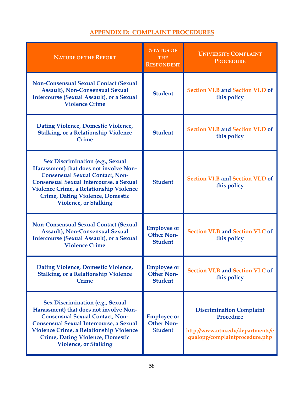## **APPENDIX D: COMPLAINT PROCEDURES**

| <b>NATURE OF THE REPORT</b>                                                                                                                                                                                                                                                                                | <b>STATUS OF</b><br><b>THE</b><br><b>RESPONDENT</b>       | <b>UNIVERSITY COMPLAINT</b><br><b>PROCEDURE</b>                                                                    |
|------------------------------------------------------------------------------------------------------------------------------------------------------------------------------------------------------------------------------------------------------------------------------------------------------------|-----------------------------------------------------------|--------------------------------------------------------------------------------------------------------------------|
| <b>Non-Consensual Sexual Contact (Sexual</b><br><b>Assault), Non-Consensual Sexual</b><br><b>Intercourse (Sexual Assault), or a Sexual</b><br><b>Violence Crime</b>                                                                                                                                        | <b>Student</b>                                            | <b>Section VI.B and Section VI.D of</b><br>this policy                                                             |
| Dating Violence, Domestic Violence,<br><b>Stalking, or a Relationship Violence</b><br><b>Crime</b>                                                                                                                                                                                                         | <b>Student</b>                                            | <b>Section VI.B and Section VI.D of</b><br>this policy                                                             |
| <b>Sex Discrimination (e.g., Sexual</b><br>Harassment) that does not involve Non-<br><b>Consensual Sexual Contact, Non-</b><br><b>Consensual Sexual Intercourse, a Sexual</b><br><b>Violence Crime, a Relationship Violence</b><br><b>Crime, Dating Violence, Domestic</b><br><b>Violence, or Stalking</b> | <b>Student</b>                                            | <b>Section VI.B and Section VI.D of</b><br>this policy                                                             |
| <b>Non-Consensual Sexual Contact (Sexual</b><br><b>Assault), Non-Consensual Sexual</b><br><b>Intercourse (Sexual Assault), or a Sexual</b><br><b>Violence Crime</b>                                                                                                                                        | <b>Employee or</b><br><b>Other Non-</b><br><b>Student</b> | <b>Section VI.B and Section VI.C of</b><br>this policy                                                             |
| <b>Dating Violence, Domestic Violence,</b><br><b>Stalking, or a Relationship Violence</b><br><b>Crime</b>                                                                                                                                                                                                  | <b>Employee or</b><br><b>Other Non-</b><br><b>Student</b> | <b>Section VI.B and Section VI.C of</b><br>this policy                                                             |
| <b>Sex Discrimination (e.g., Sexual</b><br>Harassment) that does not involve Non-<br><b>Consensual Sexual Contact, Non-</b><br><b>Consensual Sexual Intercourse, a Sexual</b><br><b>Violence Crime, a Relationship Violence</b><br><b>Crime, Dating Violence, Domestic</b><br><b>Violence, or Stalking</b> | <b>Employee or</b><br><b>Other Non-</b><br><b>Student</b> | <b>Discrimination Complaint</b><br>Procedure<br>http://www.utm.edu/departments/e<br>qualopp/complaintprocedure.php |